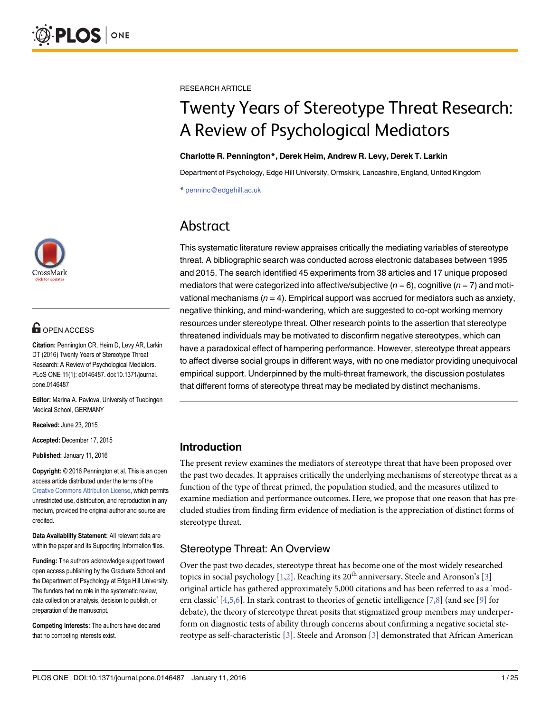

# **OPEN ACCESS**

Citation: Pennington CR, Heim D, Levy AR, Larkin DT (2016) Twenty Years of Stereotype Threat Research: A Review of Psychological Mediators. PLoS ONE 11(1): e0146487. doi:10.1371/journal. pone.0146487

Editor: Marina A. Pavlova, University of Tuebingen Medical School, GERMANY

Received: June 23, 2015

Accepted: December 17, 2015

Published: January 11, 2016

Copyright: © 2016 Pennington et al. This is an open access article distributed under the terms of the [Creative Commons Attribution License,](http://creativecommons.org/licenses/by/4.0/) which permits unrestricted use, distribution, and reproduction in any medium, provided the original author and source are credited.

Data Availability Statement: All relevant data are within the paper and its Supporting Information files.

Funding: The authors acknowledge support toward open access publishing by the Graduate School and the Department of Psychology at Edge Hill University. The funders had no role in the systematic review, data collection or analysis, decision to publish, or preparation of the manuscript.

Competing Interests: The authors have declared that no competing interests exist.

<span id="page-0-0"></span>RESEARCH ARTICLE

# Twenty Years of Stereotype Threat Research: A Review of Psychological Mediators

#### Charlotte R. Pennington\*, Derek Heim, Andrew R. Levy, Derek T. Larkin

Department of Psychology, Edge Hill University, Ormskirk, Lancashire, England, United Kingdom

\* penninc@edgehill.ac.uk

# Abstract

This systematic literature review appraises critically the mediating variables of stereotype threat. A bibliographic search was conducted across electronic databases between 1995 and 2015. The search identified 45 experiments from 38 articles and 17 unique proposed mediators that were categorized into affective/subjective ( $n = 6$ ), cognitive ( $n = 7$ ) and motivational mechanisms ( $n = 4$ ). Empirical support was accrued for mediators such as anxiety, negative thinking, and mind-wandering, which are suggested to co-opt working memory resources under stereotype threat. Other research points to the assertion that stereotype threatened individuals may be motivated to disconfirm negative stereotypes, which can have a paradoxical effect of hampering performance. However, stereotype threat appears to affect diverse social groups in different ways, with no one mediator providing unequivocal empirical support. Underpinned by the multi-threat framework, the discussion postulates that different forms of stereotype threat may be mediated by distinct mechanisms.

# Introduction

The present review examines the mediators of stereotype threat that have been proposed over the past two decades. It appraises critically the underlying mechanisms of stereotype threat as a function of the type of threat primed, the population studied, and the measures utilized to examine mediation and performance outcomes. Here, we propose that one reason that has precluded studies from finding firm evidence of mediation is the appreciation of distinct forms of stereotype threat.

# Stereotype Threat: An Overview

Over the past two decades, stereotype threat has become one of the most widely researched topics in social psychology  $[1,2]$  $[1,2]$ . Reaching its 20<sup>th</sup> anniversary, Steele and Aronson's [[3](#page-19-0)] original article has gathered approximately 5,000 citations and has been referred to as a 'mod-ern classic' [[4,5,6\]](#page-19-0). In stark contrast to theories of genetic intelligence [\[7,8](#page-19-0)] (and see [[9\]](#page-19-0) for debate), the theory of stereotype threat posits that stigmatized group members may underperform on diagnostic tests of ability through concerns about confirming a negative societal stereotype as self-characteristic [[3](#page-19-0)]. Steele and Aronson [\[3\]](#page-19-0) demonstrated that African American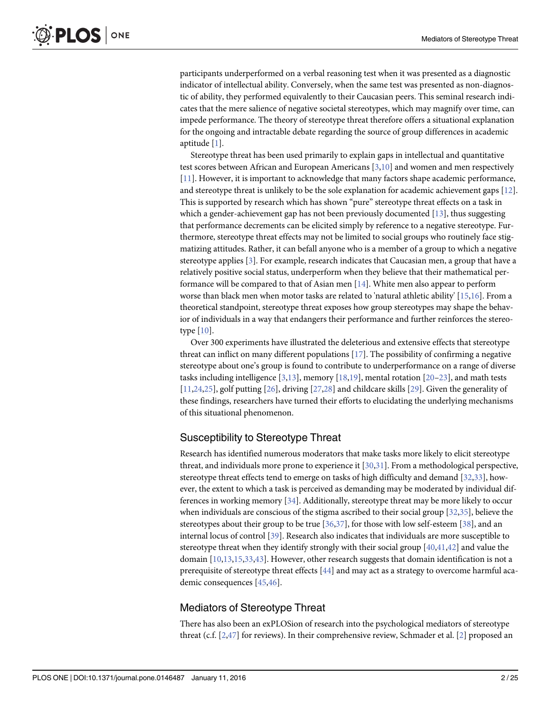<span id="page-1-0"></span>participants underperformed on a verbal reasoning test when it was presented as a diagnostic indicator of intellectual ability. Conversely, when the same test was presented as non-diagnostic of ability, they performed equivalently to their Caucasian peers. This seminal research indicates that the mere salience of negative societal stereotypes, which may magnify over time, can impede performance. The theory of stereotype threat therefore offers a situational explanation for the ongoing and intractable debate regarding the source of group differences in academic aptitude  $[1]$  $[1]$  $[1]$ .

Stereotype threat has been used primarily to explain gaps in intellectual and quantitative test scores between African and European Americans  $[3,10]$  $[3,10]$  $[3,10]$  and women and men respectively [\[11](#page-19-0)]. However, it is important to acknowledge that many factors shape academic performance, and stereotype threat is unlikely to be the sole explanation for academic achievement gaps [\[12\]](#page-19-0). This is supported by research which has shown "pure" stereotype threat effects on a task in which a gender-achievement gap has not been previously documented [\[13](#page-19-0)], thus suggesting that performance decrements can be elicited simply by reference to a negative stereotype. Furthermore, stereotype threat effects may not be limited to social groups who routinely face stigmatizing attitudes. Rather, it can befall anyone who is a member of a group to which a negative stereotype applies [\[3](#page-19-0)]. For example, research indicates that Caucasian men, a group that have a relatively positive social status, underperform when they believe that their mathematical performance will be compared to that of Asian men [[14\]](#page-19-0). White men also appear to perform worse than black men when motor tasks are related to 'natural athletic ability' [\[15,16\]](#page-19-0). From a theoretical standpoint, stereotype threat exposes how group stereotypes may shape the behavior of individuals in a way that endangers their performance and further reinforces the stereotype [[10](#page-19-0)].

Over 300 experiments have illustrated the deleterious and extensive effects that stereotype threat can inflict on many different populations [[17](#page-19-0)]. The possibility of confirming a negative stereotype about one's group is found to contribute to underperformance on a range of diverse tasks including intelligence [[3,13](#page-19-0)], memory [\[18,19\]](#page-19-0), mental rotation [\[20](#page-19-0)–[23\]](#page-19-0), and math tests [\[11,24,25\]](#page-19-0), golf putting [\[26\]](#page-20-0), driving [\[27,28](#page-20-0)] and childcare skills [\[29\]](#page-20-0). Given the generality of these findings, researchers have turned their efforts to elucidating the underlying mechanisms of this situational phenomenon.

## Susceptibility to Stereotype Threat

Research has identified numerous moderators that make tasks more likely to elicit stereotype threat, and individuals more prone to experience it  $[30,31]$  $[30,31]$  $[30,31]$ . From a methodological perspective, stereotype threat effects tend to emerge on tasks of high difficulty and demand [\[32,33](#page-20-0)], however, the extent to which a task is perceived as demanding may be moderated by individual differences in working memory [\[34\]](#page-20-0). Additionally, stereotype threat may be more likely to occur when individuals are conscious of the stigma ascribed to their social group [\[32,35](#page-20-0)], believe the stereotypes about their group to be true  $[36,37]$ , for those with low self-esteem  $[38]$  $[38]$ , and an internal locus of control [[39](#page-20-0)]. Research also indicates that individuals are more susceptible to stereotype threat when they identify strongly with their social group  $[40,41,42]$  $[40,41,42]$  $[40,41,42]$  $[40,41,42]$  $[40,41,42]$  and value the domain  $[10,13,15,33,43]$  $[10,13,15,33,43]$  $[10,13,15,33,43]$  $[10,13,15,33,43]$  $[10,13,15,33,43]$ . However, other research suggests that domain identification is not a prerequisite of stereotype threat effects [[44](#page-20-0)] and may act as a strategy to overcome harmful academic consequences [\[45,46\]](#page-20-0).

## Mediators of Stereotype Threat

There has also been an exPLOSion of research into the psychological mediators of stereotype threat (c.f.  $[2,47]$  $[2,47]$  for reviews). In their comprehensive review, Schmader et al.  $[2]$  $[2]$  $[2]$  proposed an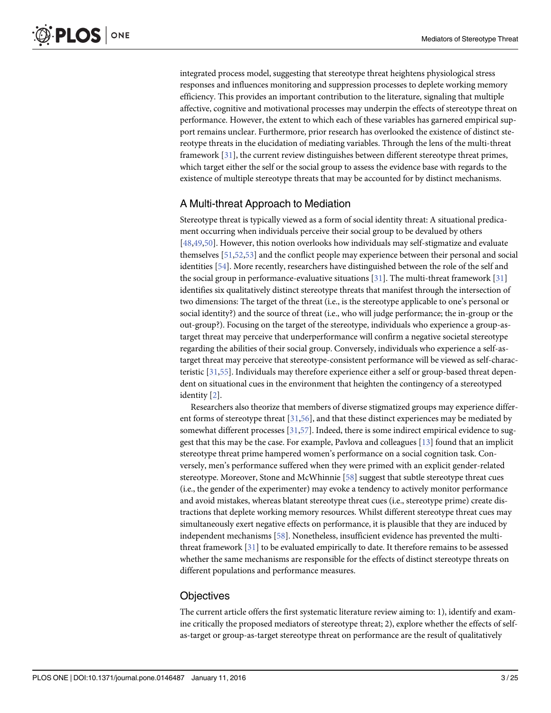<span id="page-2-0"></span>integrated process model, suggesting that stereotype threat heightens physiological stress responses and influences monitoring and suppression processes to deplete working memory efficiency. This provides an important contribution to the literature, signaling that multiple affective, cognitive and motivational processes may underpin the effects of stereotype threat on performance. However, the extent to which each of these variables has garnered empirical support remains unclear. Furthermore, prior research has overlooked the existence of distinct stereotype threats in the elucidation of mediating variables. Through the lens of the multi-threat framework [\[31\]](#page-20-0), the current review distinguishes between different stereotype threat primes, which target either the self or the social group to assess the evidence base with regards to the existence of multiple stereotype threats that may be accounted for by distinct mechanisms.

# A Multi-threat Approach to Mediation

Stereotype threat is typically viewed as a form of social identity threat: A situational predicament occurring when individuals perceive their social group to be devalued by others [\[48,49,50\]](#page-21-0). However, this notion overlooks how individuals may self-stigmatize and evaluate themselves [\[51,52](#page-21-0),[53](#page-21-0)] and the conflict people may experience between their personal and social identities [\[54\]](#page-21-0). More recently, researchers have distinguished between the role of the self and the social group in performance-evaluative situations  $[31]$  $[31]$  $[31]$ . The multi-threat framework  $[31]$ identifies six qualitatively distinct stereotype threats that manifest through the intersection of two dimensions: The target of the threat (i.e., is the stereotype applicable to one's personal or social identity?) and the source of threat (i.e., who will judge performance; the in-group or the out-group?). Focusing on the target of the stereotype, individuals who experience a group-astarget threat may perceive that underperformance will confirm a negative societal stereotype regarding the abilities of their social group. Conversely, individuals who experience a self-astarget threat may perceive that stereotype-consistent performance will be viewed as self-characteristic [[31](#page-20-0)[,55\]](#page-21-0). Individuals may therefore experience either a self or group-based threat dependent on situational cues in the environment that heighten the contingency of a stereotyped identity [\[2](#page-19-0)].

Researchers also theorize that members of diverse stigmatized groups may experience different forms of stereotype threat  $[31,56]$  $[31,56]$  $[31,56]$ , and that these distinct experiences may be mediated by somewhat different processes [[31](#page-20-0),[57](#page-21-0)]. Indeed, there is some indirect empirical evidence to suggest that this may be the case. For example, Pavlova and colleagues [[13](#page-19-0)] found that an implicit stereotype threat prime hampered women's performance on a social cognition task. Conversely, men's performance suffered when they were primed with an explicit gender-related stereotype. Moreover, Stone and McWhinnie [\[58\]](#page-21-0) suggest that subtle stereotype threat cues (i.e., the gender of the experimenter) may evoke a tendency to actively monitor performance and avoid mistakes, whereas blatant stereotype threat cues (i.e., stereotype prime) create distractions that deplete working memory resources. Whilst different stereotype threat cues may simultaneously exert negative effects on performance, it is plausible that they are induced by independent mechanisms [[58](#page-21-0)]. Nonetheless, insufficient evidence has prevented the multithreat framework [[31\]](#page-20-0) to be evaluated empirically to date. It therefore remains to be assessed whether the same mechanisms are responsible for the effects of distinct stereotype threats on different populations and performance measures.

#### **Objectives**

The current article offers the first systematic literature review aiming to: 1), identify and examine critically the proposed mediators of stereotype threat; 2), explore whether the effects of selfas-target or group-as-target stereotype threat on performance are the result of qualitatively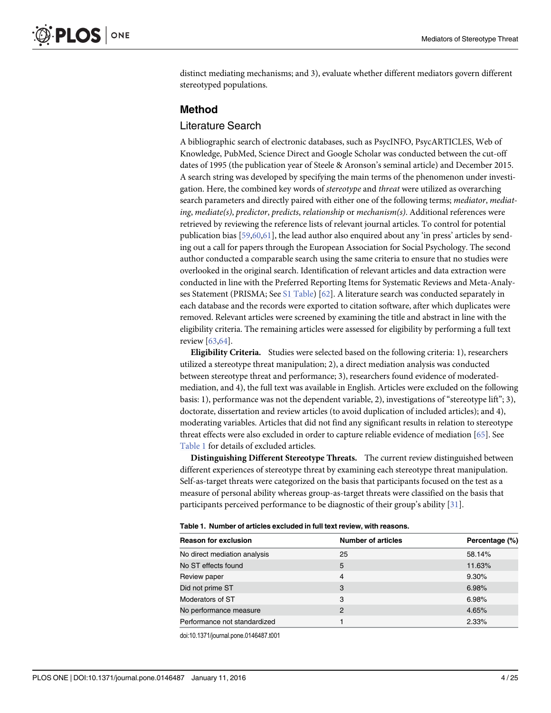<span id="page-3-0"></span>distinct mediating mechanisms; and 3), evaluate whether different mediators govern different stereotyped populations.

#### Method

#### Literature Search

A bibliographic search of electronic databases, such as PsycINFO, PsycARTICLES, Web of Knowledge, PubMed, Science Direct and Google Scholar was conducted between the cut-off dates of 1995 (the publication year of Steele & Aronson's seminal article) and December 2015. A search string was developed by specifying the main terms of the phenomenon under investigation. Here, the combined key words of stereotype and threat were utilized as overarching search parameters and directly paired with either one of the following terms; mediator, mediating, mediate(s), predictor, predicts, relationship or mechanism(s). Additional references were retrieved by reviewing the reference lists of relevant journal articles. To control for potential publication bias [[59,60,61\]](#page-21-0), the lead author also enquired about any 'in press' articles by sending out a call for papers through the European Association for Social Psychology. The second author conducted a comparable search using the same criteria to ensure that no studies were overlooked in the original search. Identification of relevant articles and data extraction were conducted in line with the Preferred Reporting Items for Systematic Reviews and Meta-Analyses Statement (PRISMA; See [S1 Table](#page-18-0)) [[62](#page-21-0)]. A literature search was conducted separately in each database and the records were exported to citation software, after which duplicates were removed. Relevant articles were screened by examining the title and abstract in line with the eligibility criteria. The remaining articles were assessed for eligibility by performing a full text review [[63,64\]](#page-21-0).

Eligibility Criteria. Studies were selected based on the following criteria: 1), researchers utilized a stereotype threat manipulation; 2), a direct mediation analysis was conducted between stereotype threat and performance; 3), researchers found evidence of moderatedmediation, and 4), the full text was available in English. Articles were excluded on the following basis: 1), performance was not the dependent variable, 2), investigations of "stereotype lift"; 3), doctorate, dissertation and review articles (to avoid duplication of included articles); and 4), moderating variables. Articles that did not find any significant results in relation to stereotype threat effects were also excluded in order to capture reliable evidence of mediation [[65](#page-21-0)]. See Table 1 for details of excluded articles.

Distinguishing Different Stereotype Threats. The current review distinguished between different experiences of stereotype threat by examining each stereotype threat manipulation. Self-as-target threats were categorized on the basis that participants focused on the test as a measure of personal ability whereas group-as-target threats were classified on the basis that participants perceived performance to be diagnostic of their group's ability [\[31](#page-20-0)].

| <b>Reason for exclusion</b>  | Number of articles | Percentage (%) |
|------------------------------|--------------------|----------------|
| No direct mediation analysis | 25                 | 58.14%         |
| No ST effects found          | 5                  | 11.63%         |
| Review paper                 | 4                  | $9.30\%$       |
| Did not prime ST             | 3                  | 6.98%          |
| Moderators of ST             | 3                  | 6.98%          |
| No performance measure       | $\mathcal{P}$      | 4.65%          |
| Performance not standardized |                    | 2.33%          |

#### Table 1. Number of articles excluded in full text review, with reasons.

doi:10.1371/journal.pone.0146487.t001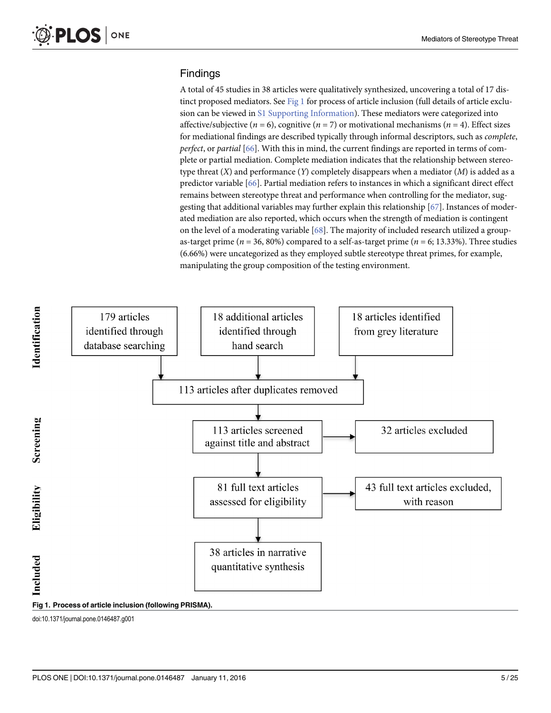# <span id="page-4-0"></span>Findings

A total of 45 studies in 38 articles were qualitatively synthesized, uncovering a total of 17 distinct proposed mediators. See Fig 1 for process of article inclusion (full details of article exclusion can be viewed in  $S1$  Supporting Information). These mediators were categorized into affective/subjective ( $n = 6$ ), cognitive ( $n = 7$ ) or motivational mechanisms ( $n = 4$ ). Effect sizes for mediational findings are described typically through informal descriptors, such as complete, perfect, or partial [\[66\]](#page-21-0). With this in mind, the current findings are reported in terms of complete or partial mediation. Complete mediation indicates that the relationship between stereotype threat  $(X)$  and performance  $(Y)$  completely disappears when a mediator  $(M)$  is added as a predictor variable [[66](#page-21-0)]. Partial mediation refers to instances in which a significant direct effect remains between stereotype threat and performance when controlling for the mediator, sug-gesting that additional variables may further explain this relationship [\[67](#page-21-0)]. Instances of moderated mediation are also reported, which occurs when the strength of mediation is contingent on the level of a moderating variable [[68](#page-21-0)]. The majority of included research utilized a groupas-target prime ( $n = 36, 80\%$ ) compared to a self-as-target prime ( $n = 6$ ; 13.33%). Three studies (6.66%) were uncategorized as they employed subtle stereotype threat primes, for example, manipulating the group composition of the testing environment.



doi:10.1371/journal.pone.0146487.g001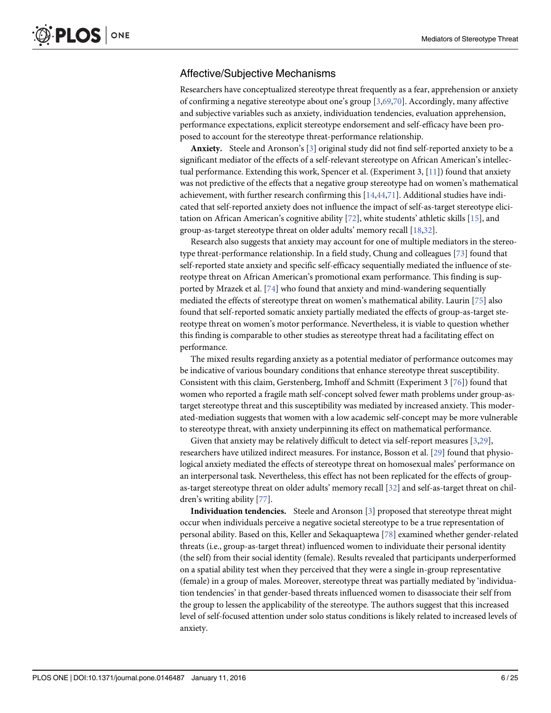### <span id="page-5-0"></span>Affective/Subjective Mechanisms

Researchers have conceptualized stereotype threat frequently as a fear, apprehension or anxiety of confirming a negative stereotype about one's group [\[3](#page-19-0)[,69,](#page-21-0)[70\]](#page-22-0). Accordingly, many affective and subjective variables such as anxiety, individuation tendencies, evaluation apprehension, performance expectations, explicit stereotype endorsement and self-efficacy have been proposed to account for the stereotype threat-performance relationship.

Anxiety. Steele and Aronson's [[3](#page-19-0)] original study did not find self-reported anxiety to be a significant mediator of the effects of a self-relevant stereotype on African American's intellec-tual performance. Extending this work, Spencer et al. (Experiment 3, [\[11\]](#page-19-0)) found that anxiety was not predictive of the effects that a negative group stereotype had on women's mathematical achievement, with further research confirming this  $[14,44,71]$  $[14,44,71]$  $[14,44,71]$  $[14,44,71]$  $[14,44,71]$ . Additional studies have indicated that self-reported anxiety does not influence the impact of self-as-target stereotype elicitation on African American's cognitive ability [[72](#page-22-0)], white students' athletic skills [[15](#page-19-0)], and group-as-target stereotype threat on older adults' memory recall [\[18,](#page-19-0)[32](#page-20-0)].

Research also suggests that anxiety may account for one of multiple mediators in the stereotype threat-performance relationship. In a field study, Chung and colleagues [\[73\]](#page-22-0) found that self-reported state anxiety and specific self-efficacy sequentially mediated the influence of stereotype threat on African American's promotional exam performance. This finding is supported by Mrazek et al. [[74](#page-22-0)] who found that anxiety and mind-wandering sequentially mediated the effects of stereotype threat on women's mathematical ability. Laurin [[75](#page-22-0)] also found that self-reported somatic anxiety partially mediated the effects of group-as-target stereotype threat on women's motor performance. Nevertheless, it is viable to question whether this finding is comparable to other studies as stereotype threat had a facilitating effect on performance.

The mixed results regarding anxiety as a potential mediator of performance outcomes may be indicative of various boundary conditions that enhance stereotype threat susceptibility. Consistent with this claim, Gerstenberg, Imhoff and Schmitt (Experiment 3 [[76](#page-22-0)]) found that women who reported a fragile math self-concept solved fewer math problems under group-astarget stereotype threat and this susceptibility was mediated by increased anxiety. This moderated-mediation suggests that women with a low academic self-concept may be more vulnerable to stereotype threat, with anxiety underpinning its effect on mathematical performance.

Given that anxiety may be relatively difficult to detect via self-report measures [[3,](#page-19-0)[29](#page-20-0)], researchers have utilized indirect measures. For instance, Bosson et al. [[29](#page-20-0)] found that physiological anxiety mediated the effects of stereotype threat on homosexual males' performance on an interpersonal task. Nevertheless, this effect has not been replicated for the effects of groupas-target stereotype threat on older adults' memory recall [[32](#page-20-0)] and self-as-target threat on children's writing ability [[77](#page-22-0)].

Individuation tendencies. Steele and Aronson [\[3\]](#page-19-0) proposed that stereotype threat might occur when individuals perceive a negative societal stereotype to be a true representation of personal ability. Based on this, Keller and Sekaquaptewa [\[78\]](#page-22-0) examined whether gender-related threats (i.e., group-as-target threat) influenced women to individuate their personal identity (the self) from their social identity (female). Results revealed that participants underperformed on a spatial ability test when they perceived that they were a single in-group representative (female) in a group of males. Moreover, stereotype threat was partially mediated by 'individuation tendencies' in that gender-based threats influenced women to disassociate their self from the group to lessen the applicability of the stereotype. The authors suggest that this increased level of self-focused attention under solo status conditions is likely related to increased levels of anxiety.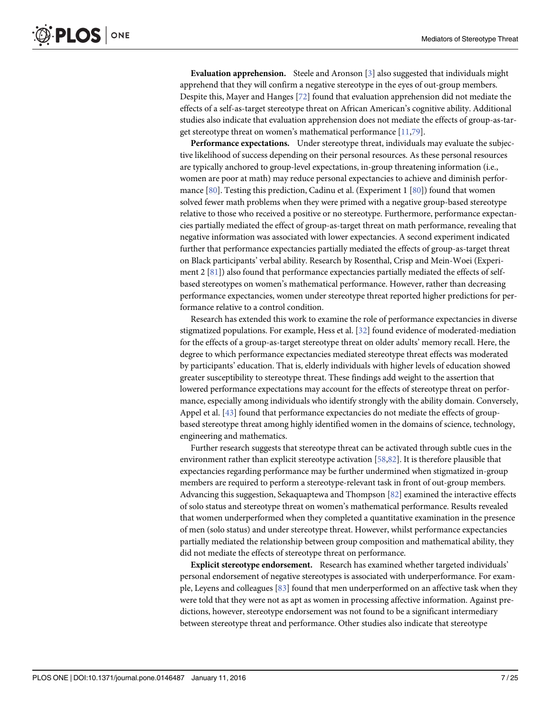<span id="page-6-0"></span>Evaluation apprehension. Steele and Aronson [[3\]](#page-19-0) also suggested that individuals might apprehend that they will confirm a negative stereotype in the eyes of out-group members. Despite this, Mayer and Hanges [[72](#page-22-0)] found that evaluation apprehension did not mediate the effects of a self-as-target stereotype threat on African American's cognitive ability. Additional studies also indicate that evaluation apprehension does not mediate the effects of group-as-target stereotype threat on women's mathematical performance [[11](#page-19-0),[79](#page-22-0)].

Performance expectations. Under stereotype threat, individuals may evaluate the subjective likelihood of success depending on their personal resources. As these personal resources are typically anchored to group-level expectations, in-group threatening information (i.e., women are poor at math) may reduce personal expectancies to achieve and diminish performance [[80\]](#page-22-0). Testing this prediction, Cadinu et al. (Experiment 1 [\[80](#page-22-0)]) found that women solved fewer math problems when they were primed with a negative group-based stereotype relative to those who received a positive or no stereotype. Furthermore, performance expectancies partially mediated the effect of group-as-target threat on math performance, revealing that negative information was associated with lower expectancies. A second experiment indicated further that performance expectancies partially mediated the effects of group-as-target threat on Black participants' verbal ability. Research by Rosenthal, Crisp and Mein-Woei (Experiment  $2 \left[ 81 \right]$ ) also found that performance expectancies partially mediated the effects of selfbased stereotypes on women's mathematical performance. However, rather than decreasing performance expectancies, women under stereotype threat reported higher predictions for performance relative to a control condition.

Research has extended this work to examine the role of performance expectancies in diverse stigmatized populations. For example, Hess et al. [\[32](#page-20-0)] found evidence of moderated-mediation for the effects of a group-as-target stereotype threat on older adults' memory recall. Here, the degree to which performance expectancies mediated stereotype threat effects was moderated by participants' education. That is, elderly individuals with higher levels of education showed greater susceptibility to stereotype threat. These findings add weight to the assertion that lowered performance expectations may account for the effects of stereotype threat on performance, especially among individuals who identify strongly with the ability domain. Conversely, Appel et al. [\[43\]](#page-20-0) found that performance expectancies do not mediate the effects of groupbased stereotype threat among highly identified women in the domains of science, technology, engineering and mathematics.

Further research suggests that stereotype threat can be activated through subtle cues in the environment rather than explicit stereotype activation [\[58](#page-21-0)[,82\]](#page-22-0). It is therefore plausible that expectancies regarding performance may be further undermined when stigmatized in-group members are required to perform a stereotype-relevant task in front of out-group members. Advancing this suggestion, Sekaquaptewa and Thompson [[82\]](#page-22-0) examined the interactive effects of solo status and stereotype threat on women's mathematical performance. Results revealed that women underperformed when they completed a quantitative examination in the presence of men (solo status) and under stereotype threat. However, whilst performance expectancies partially mediated the relationship between group composition and mathematical ability, they did not mediate the effects of stereotype threat on performance.

Explicit stereotype endorsement. Research has examined whether targeted individuals' personal endorsement of negative stereotypes is associated with underperformance. For example, Leyens and colleagues [\[83\]](#page-22-0) found that men underperformed on an affective task when they were told that they were not as apt as women in processing affective information. Against predictions, however, stereotype endorsement was not found to be a significant intermediary between stereotype threat and performance. Other studies also indicate that stereotype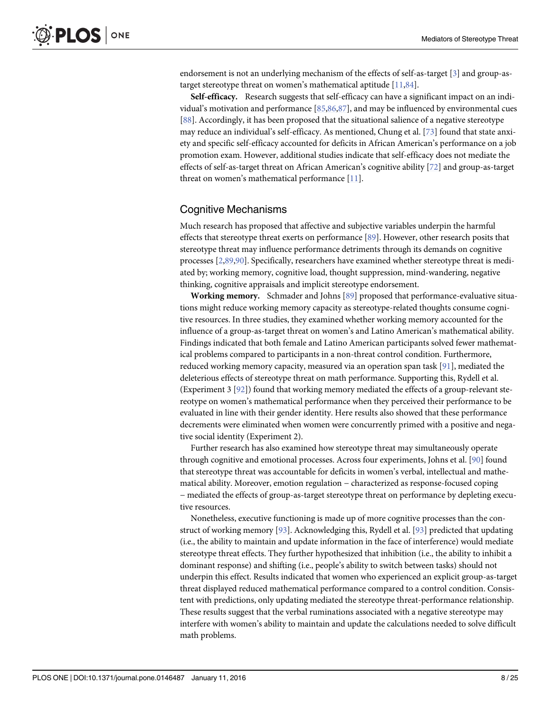<span id="page-7-0"></span>endorsement is not an underlying mechanism of the effects of self-as-target [\[3\]](#page-19-0) and group-astarget stereotype threat on women's mathematical aptitude  $[11,84]$  $[11,84]$  $[11,84]$  $[11,84]$  $[11,84]$ .

Self-efficacy. Research suggests that self-efficacy can have a significant impact on an individual's motivation and performance  $[85,86,87]$  $[85,86,87]$ , and may be influenced by environmental cues [\[88](#page-22-0)]. Accordingly, it has been proposed that the situational salience of a negative stereotype may reduce an individual's self-efficacy. As mentioned, Chung et al. [\[73\]](#page-22-0) found that state anxiety and specific self-efficacy accounted for deficits in African American's performance on a job promotion exam. However, additional studies indicate that self-efficacy does not mediate the effects of self-as-target threat on African American's cognitive ability [[72](#page-22-0)] and group-as-target threat on women's mathematical performance [[11](#page-19-0)].

# Cognitive Mechanisms

Much research has proposed that affective and subjective variables underpin the harmful effects that stereotype threat exerts on performance [\[89](#page-22-0)]. However, other research posits that stereotype threat may influence performance detriments through its demands on cognitive processes [[2,](#page-19-0)[89,90](#page-22-0)]. Specifically, researchers have examined whether stereotype threat is mediated by; working memory, cognitive load, thought suppression, mind-wandering, negative thinking, cognitive appraisals and implicit stereotype endorsement.

Working memory. Schmader and Johns [\[89\]](#page-22-0) proposed that performance-evaluative situations might reduce working memory capacity as stereotype-related thoughts consume cognitive resources. In three studies, they examined whether working memory accounted for the influence of a group-as-target threat on women's and Latino American's mathematical ability. Findings indicated that both female and Latino American participants solved fewer mathematical problems compared to participants in a non-threat control condition. Furthermore, reduced working memory capacity, measured via an operation span task [[91](#page-22-0)], mediated the deleterious effects of stereotype threat on math performance. Supporting this, Rydell et al. (Experiment 3 [[92](#page-22-0)]) found that working memory mediated the effects of a group-relevant stereotype on women's mathematical performance when they perceived their performance to be evaluated in line with their gender identity. Here results also showed that these performance decrements were eliminated when women were concurrently primed with a positive and negative social identity (Experiment 2).

Further research has also examined how stereotype threat may simultaneously operate through cognitive and emotional processes. Across four experiments, Johns et al. [\[90](#page-22-0)] found that stereotype threat was accountable for deficits in women's verbal, intellectual and mathematical ability. Moreover, emotion regulation − characterized as response-focused coping − mediated the effects of group-as-target stereotype threat on performance by depleting executive resources.

Nonetheless, executive functioning is made up of more cognitive processes than the con-struct of working memory [[93](#page-23-0)]. Acknowledging this, Rydell et al. [93] predicted that updating (i.e., the ability to maintain and update information in the face of interference) would mediate stereotype threat effects. They further hypothesized that inhibition (i.e., the ability to inhibit a dominant response) and shifting (i.e., people's ability to switch between tasks) should not underpin this effect. Results indicated that women who experienced an explicit group-as-target threat displayed reduced mathematical performance compared to a control condition. Consistent with predictions, only updating mediated the stereotype threat-performance relationship. These results suggest that the verbal ruminations associated with a negative stereotype may interfere with women's ability to maintain and update the calculations needed to solve difficult math problems.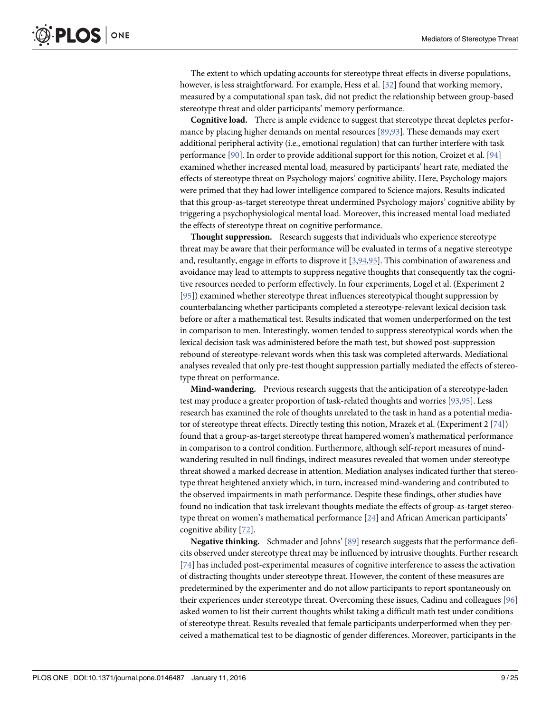<span id="page-8-0"></span>The extent to which updating accounts for stereotype threat effects in diverse populations, however, is less straightforward. For example, Hess et al. [\[32\]](#page-20-0) found that working memory, measured by a computational span task, did not predict the relationship between group-based stereotype threat and older participants' memory performance.

Cognitive load. There is ample evidence to suggest that stereotype threat depletes performance by placing higher demands on mental resources [\[89,](#page-22-0)[93](#page-23-0)]. These demands may exert additional peripheral activity (i.e., emotional regulation) that can further interfere with task performance [[90](#page-22-0)]. In order to provide additional support for this notion, Croizet et al. [\[94\]](#page-23-0) examined whether increased mental load, measured by participants' heart rate, mediated the effects of stereotype threat on Psychology majors' cognitive ability. Here, Psychology majors were primed that they had lower intelligence compared to Science majors. Results indicated that this group-as-target stereotype threat undermined Psychology majors' cognitive ability by triggering a psychophysiological mental load. Moreover, this increased mental load mediated the effects of stereotype threat on cognitive performance.

Thought suppression. Research suggests that individuals who experience stereotype threat may be aware that their performance will be evaluated in terms of a negative stereotype and, resultantly, engage in efforts to disprove it  $[3,94,95]$  $[3,94,95]$  $[3,94,95]$  $[3,94,95]$ . This combination of awareness and avoidance may lead to attempts to suppress negative thoughts that consequently tax the cognitive resources needed to perform effectively. In four experiments, Logel et al. (Experiment 2 [\[95](#page-23-0)]) examined whether stereotype threat influences stereotypical thought suppression by counterbalancing whether participants completed a stereotype-relevant lexical decision task before or after a mathematical test. Results indicated that women underperformed on the test in comparison to men. Interestingly, women tended to suppress stereotypical words when the lexical decision task was administered before the math test, but showed post-suppression rebound of stereotype-relevant words when this task was completed afterwards. Mediational analyses revealed that only pre-test thought suppression partially mediated the effects of stereotype threat on performance.

**Mind-wandering.** Previous research suggests that the anticipation of a stereotype-laden test may produce a greater proportion of task-related thoughts and worries [\[93,95\]](#page-23-0). Less research has examined the role of thoughts unrelated to the task in hand as a potential media-tor of stereotype threat effects. Directly testing this notion, Mrazek et al. (Experiment 2 [\[74\]](#page-22-0)) found that a group-as-target stereotype threat hampered women's mathematical performance in comparison to a control condition. Furthermore, although self-report measures of mindwandering resulted in null findings, indirect measures revealed that women under stereotype threat showed a marked decrease in attention. Mediation analyses indicated further that stereotype threat heightened anxiety which, in turn, increased mind-wandering and contributed to the observed impairments in math performance. Despite these findings, other studies have found no indication that task irrelevant thoughts mediate the effects of group-as-target stereotype threat on women's mathematical performance  $[24]$  and African American participants' cognitive ability [[72](#page-22-0)].

Negative thinking. Schmader and Johns' [\[89](#page-22-0)] research suggests that the performance deficits observed under stereotype threat may be influenced by intrusive thoughts. Further research [\[74](#page-22-0)] has included post-experimental measures of cognitive interference to assess the activation of distracting thoughts under stereotype threat. However, the content of these measures are predetermined by the experimenter and do not allow participants to report spontaneously on their experiences under stereotype threat. Overcoming these issues, Cadinu and colleagues [[96](#page-23-0)] asked women to list their current thoughts whilst taking a difficult math test under conditions of stereotype threat. Results revealed that female participants underperformed when they perceived a mathematical test to be diagnostic of gender differences. Moreover, participants in the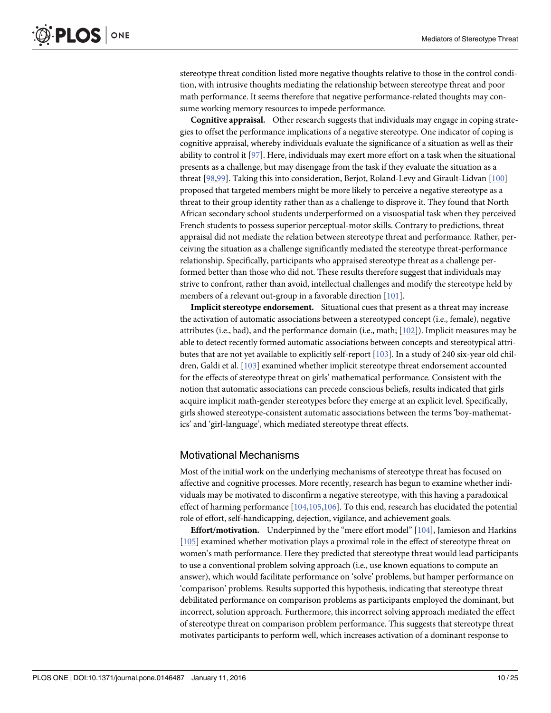<span id="page-9-0"></span>stereotype threat condition listed more negative thoughts relative to those in the control condition, with intrusive thoughts mediating the relationship between stereotype threat and poor math performance. It seems therefore that negative performance-related thoughts may consume working memory resources to impede performance.

Cognitive appraisal. Other research suggests that individuals may engage in coping strategies to offset the performance implications of a negative stereotype. One indicator of coping is cognitive appraisal, whereby individuals evaluate the significance of a situation as well as their ability to control it [\[97\]](#page-23-0). Here, individuals may exert more effort on a task when the situational presents as a challenge, but may disengage from the task if they evaluate the situation as a threat [\[98,99\]](#page-23-0). Taking this into consideration, Berjot, Roland-Levy and Girault-Lidvan [\[100\]](#page-23-0) proposed that targeted members might be more likely to perceive a negative stereotype as a threat to their group identity rather than as a challenge to disprove it. They found that North African secondary school students underperformed on a visuospatial task when they perceived French students to possess superior perceptual-motor skills. Contrary to predictions, threat appraisal did not mediate the relation between stereotype threat and performance. Rather, perceiving the situation as a challenge significantly mediated the stereotype threat-performance relationship. Specifically, participants who appraised stereotype threat as a challenge performed better than those who did not. These results therefore suggest that individuals may strive to confront, rather than avoid, intellectual challenges and modify the stereotype held by members of a relevant out-group in a favorable direction [[101](#page-23-0)].

Implicit stereotype endorsement. Situational cues that present as a threat may increase the activation of automatic associations between a stereotyped concept (i.e., female), negative attributes (i.e., bad), and the performance domain (i.e., math; [\[102](#page-23-0)]). Implicit measures may be able to detect recently formed automatic associations between concepts and stereotypical attributes that are not yet available to explicitly self-report [[103](#page-23-0)]. In a study of 240 six-year old children, Galdi et al. [[103](#page-23-0)] examined whether implicit stereotype threat endorsement accounted for the effects of stereotype threat on girls' mathematical performance. Consistent with the notion that automatic associations can precede conscious beliefs, results indicated that girls acquire implicit math-gender stereotypes before they emerge at an explicit level. Specifically, girls showed stereotype-consistent automatic associations between the terms 'boy-mathematics' and 'girl-language', which mediated stereotype threat effects.

# Motivational Mechanisms

Most of the initial work on the underlying mechanisms of stereotype threat has focused on affective and cognitive processes. More recently, research has begun to examine whether individuals may be motivated to disconfirm a negative stereotype, with this having a paradoxical effect of harming performance  $[104, 105, 106]$ . To this end, research has elucidated the potential role of effort, self-handicapping, dejection, vigilance, and achievement goals.

**Effort/motivation.** Underpinned by the "mere effort model"  $[104]$  $[104]$  $[104]$ , Jamieson and Harkins [\[105\]](#page-23-0) examined whether motivation plays a proximal role in the effect of stereotype threat on women's math performance. Here they predicted that stereotype threat would lead participants to use a conventional problem solving approach (i.e., use known equations to compute an answer), which would facilitate performance on 'solve' problems, but hamper performance on 'comparison' problems. Results supported this hypothesis, indicating that stereotype threat debilitated performance on comparison problems as participants employed the dominant, but incorrect, solution approach. Furthermore, this incorrect solving approach mediated the effect of stereotype threat on comparison problem performance. This suggests that stereotype threat motivates participants to perform well, which increases activation of a dominant response to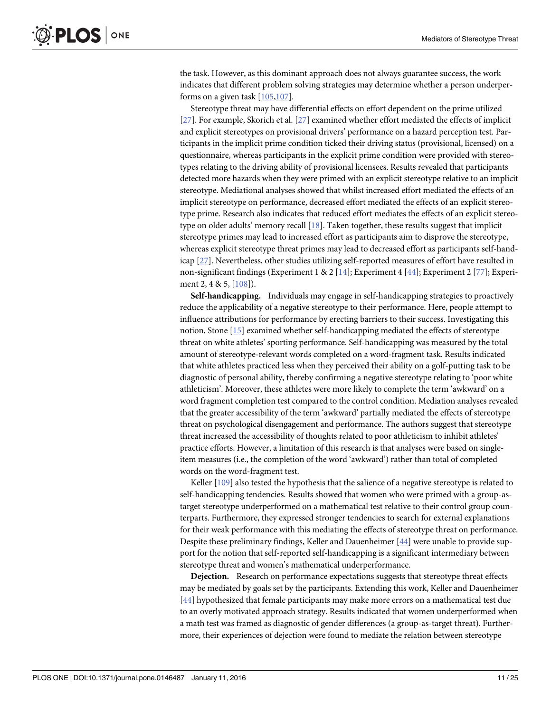<span id="page-10-0"></span>the task. However, as this dominant approach does not always guarantee success, the work indicates that different problem solving strategies may determine whether a person underperforms on a given task [[105,107\]](#page-23-0).

Stereotype threat may have differential effects on effort dependent on the prime utilized [\[27](#page-20-0)]. For example, Skorich et al. [\[27\]](#page-20-0) examined whether effort mediated the effects of implicit and explicit stereotypes on provisional drivers' performance on a hazard perception test. Participants in the implicit prime condition ticked their driving status (provisional, licensed) on a questionnaire, whereas participants in the explicit prime condition were provided with stereotypes relating to the driving ability of provisional licensees. Results revealed that participants detected more hazards when they were primed with an explicit stereotype relative to an implicit stereotype. Mediational analyses showed that whilst increased effort mediated the effects of an implicit stereotype on performance, decreased effort mediated the effects of an explicit stereotype prime. Research also indicates that reduced effort mediates the effects of an explicit stereotype on older adults' memory recall [[18](#page-19-0)]. Taken together, these results suggest that implicit stereotype primes may lead to increased effort as participants aim to disprove the stereotype, whereas explicit stereotype threat primes may lead to decreased effort as participants self-handicap [[27\]](#page-20-0). Nevertheless, other studies utilizing self-reported measures of effort have resulted in non-significant findings (Experiment 1 & 2 [\[14\]](#page-19-0); Experiment 4 [[44](#page-20-0)]; Experiment 2 [\[77\]](#page-22-0); Experiment 2, 4 & 5, [\[108](#page-23-0)]).

Self-handicapping. Individuals may engage in self-handicapping strategies to proactively reduce the applicability of a negative stereotype to their performance. Here, people attempt to influence attributions for performance by erecting barriers to their success. Investigating this notion, Stone [[15](#page-19-0)] examined whether self-handicapping mediated the effects of stereotype threat on white athletes' sporting performance. Self-handicapping was measured by the total amount of stereotype-relevant words completed on a word-fragment task. Results indicated that white athletes practiced less when they perceived their ability on a golf-putting task to be diagnostic of personal ability, thereby confirming a negative stereotype relating to 'poor white athleticism'. Moreover, these athletes were more likely to complete the term 'awkward' on a word fragment completion test compared to the control condition. Mediation analyses revealed that the greater accessibility of the term 'awkward' partially mediated the effects of stereotype threat on psychological disengagement and performance. The authors suggest that stereotype threat increased the accessibility of thoughts related to poor athleticism to inhibit athletes' practice efforts. However, a limitation of this research is that analyses were based on singleitem measures (i.e., the completion of the word 'awkward') rather than total of completed words on the word-fragment test.

Keller  $[109]$  also tested the hypothesis that the salience of a negative stereotype is related to self-handicapping tendencies. Results showed that women who were primed with a group-astarget stereotype underperformed on a mathematical test relative to their control group counterparts. Furthermore, they expressed stronger tendencies to search for external explanations for their weak performance with this mediating the effects of stereotype threat on performance. Despite these preliminary findings, Keller and Dauenheimer [\[44\]](#page-20-0) were unable to provide support for the notion that self-reported self-handicapping is a significant intermediary between stereotype threat and women's mathematical underperformance.

Dejection. Research on performance expectations suggests that stereotype threat effects may be mediated by goals set by the participants. Extending this work, Keller and Dauenheimer [\[44](#page-20-0)] hypothesized that female participants may make more errors on a mathematical test due to an overly motivated approach strategy. Results indicated that women underperformed when a math test was framed as diagnostic of gender differences (a group-as-target threat). Furthermore, their experiences of dejection were found to mediate the relation between stereotype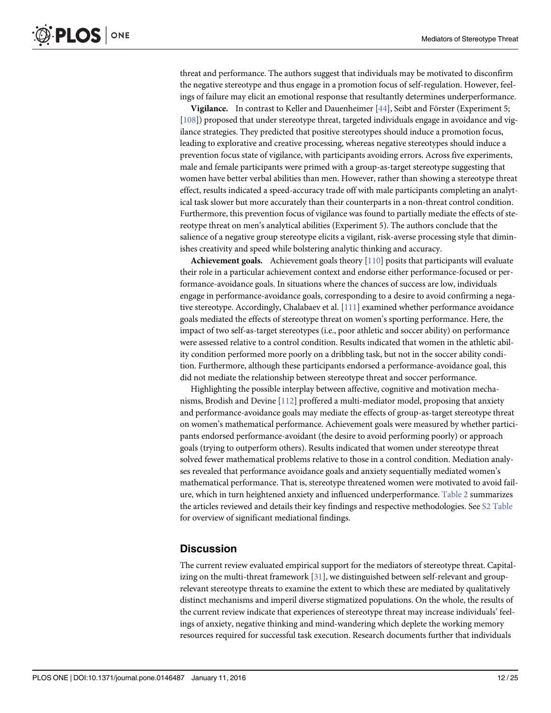<span id="page-11-0"></span>threat and performance. The authors suggest that individuals may be motivated to disconfirm the negative stereotype and thus engage in a promotion focus of self-regulation. However, feelings of failure may elicit an emotional response that resultantly determines underperformance.

Vigilance. In contrast to Keller and Dauenheimer  $[44]$  $[44]$  $[44]$ , Seibt and Förster (Experiment 5; [\[108\]](#page-23-0)) proposed that under stereotype threat, targeted individuals engage in avoidance and vigilance strategies. They predicted that positive stereotypes should induce a promotion focus, leading to explorative and creative processing, whereas negative stereotypes should induce a prevention focus state of vigilance, with participants avoiding errors. Across five experiments, male and female participants were primed with a group-as-target stereotype suggesting that women have better verbal abilities than men. However, rather than showing a stereotype threat effect, results indicated a speed-accuracy trade off with male participants completing an analytical task slower but more accurately than their counterparts in a non-threat control condition. Furthermore, this prevention focus of vigilance was found to partially mediate the effects of stereotype threat on men's analytical abilities (Experiment 5). The authors conclude that the salience of a negative group stereotype elicits a vigilant, risk-averse processing style that diminishes creativity and speed while bolstering analytic thinking and accuracy.

Achievement goals. Achievement goals theory  $[110]$  $[110]$  $[110]$  posits that participants will evaluate their role in a particular achievement context and endorse either performance-focused or performance-avoidance goals. In situations where the chances of success are low, individuals engage in performance-avoidance goals, corresponding to a desire to avoid confirming a nega-tive stereotype. Accordingly, Chalabaev et al. [\[111\]](#page-23-0) examined whether performance avoidance goals mediated the effects of stereotype threat on women's sporting performance. Here, the impact of two self-as-target stereotypes (i.e., poor athletic and soccer ability) on performance were assessed relative to a control condition. Results indicated that women in the athletic ability condition performed more poorly on a dribbling task, but not in the soccer ability condition. Furthermore, although these participants endorsed a performance-avoidance goal, this did not mediate the relationship between stereotype threat and soccer performance.

Highlighting the possible interplay between affective, cognitive and motivation mechanisms, Brodish and Devine [\[112\]](#page-23-0) proffered a multi-mediator model, proposing that anxiety and performance-avoidance goals may mediate the effects of group-as-target stereotype threat on women's mathematical performance. Achievement goals were measured by whether participants endorsed performance-avoidant (the desire to avoid performing poorly) or approach goals (trying to outperform others). Results indicated that women under stereotype threat solved fewer mathematical problems relative to those in a control condition. Mediation analyses revealed that performance avoidance goals and anxiety sequentially mediated women's mathematical performance. That is, stereotype threatened women were motivated to avoid failure, which in turn heightened anxiety and influenced underperformance. [Table 2](#page-12-0) summarizes the articles reviewed and details their key findings and respective methodologies. See [S2 Table](#page-18-0) for overview of significant mediational findings.

## **Discussion**

The current review evaluated empirical support for the mediators of stereotype threat. Capitalizing on the multi-threat framework  $[31]$  $[31]$ , we distinguished between self-relevant and grouprelevant stereotype threats to examine the extent to which these are mediated by qualitatively distinct mechanisms and imperil diverse stigmatized populations. On the whole, the results of the current review indicate that experiences of stereotype threat may increase individuals' feelings of anxiety, negative thinking and mind-wandering which deplete the working memory resources required for successful task execution. Research documents further that individuals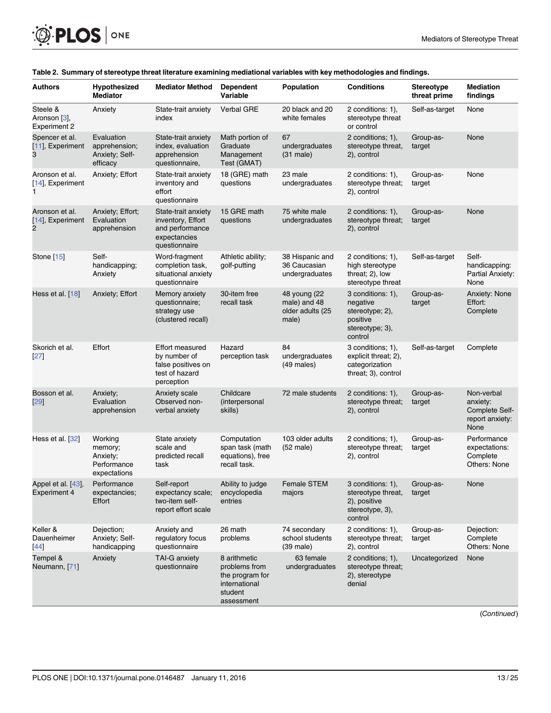<span id="page-12-0"></span>

| Authors                                                     | <b>Hypothesized</b><br><b>Mediator</b>                        | <b>Mediator Method</b>                                                                       | <b>Dependent</b><br>Variable                                                               | Population                                                | <b>Conditions</b>                                                                          | <b>Stereotype</b><br>threat prime | <b>Mediation</b><br>findings                                        |
|-------------------------------------------------------------|---------------------------------------------------------------|----------------------------------------------------------------------------------------------|--------------------------------------------------------------------------------------------|-----------------------------------------------------------|--------------------------------------------------------------------------------------------|-----------------------------------|---------------------------------------------------------------------|
| Steele &<br>Aronson <sup>[3]</sup> ,<br><b>Experiment 2</b> | Anxiety                                                       | State-trait anxiety<br>index                                                                 | <b>Verbal GRE</b>                                                                          | 20 black and 20<br>white females                          | 2 conditions: 1),<br>stereotype threat<br>or control                                       | Self-as-target                    | None                                                                |
| Spencer et al.<br>[11], Experiment<br>3                     | Evaluation<br>apprehension;<br>Anxiety; Self-<br>efficacy     | State-trait anxiety<br>index, evaluation<br>apprehension<br>questionnaire,                   | Math portion of<br>Graduate<br>Management<br>Test (GMAT)                                   | 67<br>undergraduates<br>$(31 \text{ male})$               | 2 conditions; 1),<br>stereotype threat,<br>2), control                                     | Group-as-<br>target               | None                                                                |
| Aronson et al.<br>[14], Experiment                          | Anxiety; Effort                                               | State-trait anxiety<br>inventory and<br>effort<br>questionnaire                              | 18 (GRE) math<br>questions                                                                 | 23 male<br>undergraduates                                 | 2 conditions: 1),<br>stereotype threat;<br>2), control                                     | Group-as-<br>target               | None                                                                |
| Aronson et al.<br>[14], Experiment<br>2                     | Anxiety; Effort;<br>Evaluation<br>apprehension                | State-trait anxiety<br>inventory, Effort<br>and performance<br>expectancies<br>questionnaire | 15 GRE math<br>questions                                                                   | 75 white male<br>undergraduates                           | 2 conditions: 1),<br>stereotype threat;<br>2), control                                     | Group-as-<br>target               | None                                                                |
| Stone [15]                                                  | Self-<br>handicapping;<br>Anxiety                             | Word-fragment<br>completion task,<br>situational anxiety<br>questionnaire                    | Athletic ability;<br>golf-putting                                                          | 38 Hispanic and<br>36 Caucasian<br>undergraduates         | 2 conditions; 1),<br>high stereotype<br>threat; $2$ ), low<br>stereotype threat            | Self-as-target                    | Self-<br>handicapping:<br>Partial Anxiety:<br>None                  |
| Hess et al. [18]                                            | Anxiety; Effort                                               | Memory anxiety<br>questionnaire;<br>strategy use<br>(clustered recall)                       | 30-item free<br>recall task                                                                | 48 young (22<br>male) and 48<br>older adults (25<br>male) | 3 conditions: 1),<br>negative<br>stereotype; 2),<br>positive<br>stereotype; 3),<br>control | Group-as-<br>target               | Anxiety: None<br>Effort:<br>Complete                                |
| Skorich et al.<br>[27]                                      | Effort                                                        | Effort measured<br>by number of<br>false positives on<br>test of hazard<br>perception        | Hazard<br>perception task                                                                  | 84<br>undergraduates<br>$(49$ males)                      | 3 conditions; 1),<br>explicit threat; 2),<br>categorization<br>threat; 3), control         | Self-as-target                    | Complete                                                            |
| Bosson et al.<br>[29]                                       | Anxiety;<br>Evaluation<br>apprehension                        | Anxiety scale<br>Observed non-<br>verbal anxiety                                             | Childcare<br>(interpersonal<br>skills)                                                     | 72 male students                                          | 2 conditions: 1),<br>stereotype threat;<br>2), control                                     | Group-as-<br>target               | Non-verbal<br>anxiety:<br>Complete Self-<br>report anxiety:<br>None |
| Hess et al. [32]                                            | Working<br>memory;<br>Anxiety;<br>Performance<br>expectations | State anxiety<br>scale and<br>predicted recall<br>task                                       | Computation<br>span task (math<br>equations), free<br>recall task.                         | 103 older adults<br>$(52 \text{ male})$                   | 2 conditions; 1),<br>stereotype threat;<br>2), control                                     | Group-as-<br>target               | Performance<br>expectations:<br>Complete<br>Others: None            |
| Appel et al. [43],<br><b>Experiment 4</b>                   | Performance<br>expectancies;<br>Effort                        | Self-report<br>expectancy scale;<br>two-item self-<br>report effort scale                    | Ability to judge<br>encyclopedia<br>entries                                                | Female STEM<br>majors                                     | 3 conditions: 1).<br>stereotype threat,<br>2), positive<br>stereotype, 3),<br>control      | Group-as-<br>target               | None                                                                |
| Keller &<br>Dauenheimer<br>$\left 44\right $                | Dejection;<br>Anxiety; Self-<br>handicapping                  | Anxiety and<br>regulatory focus<br>questionnaire                                             | 26 math<br>problems                                                                        | 74 secondary<br>school students<br>$(39 \text{ male})$    | 2 conditions: 1),<br>stereotype threat;<br>2), control                                     | Group-as-<br>target               | Dejection:<br>Complete<br><b>Others: None</b>                       |
| Tempel &<br>Neumann, [71]                                   | Anxiety                                                       | TAI-G anxiety<br>questionnaire                                                               | 8 arithmetic<br>problems from<br>the program for<br>international<br>student<br>assessment | 63 female<br>undergraduates                               | 2 conditions; 1),<br>stereotype threat;<br>2), stereotype<br>denial                        | Uncategorized                     | None                                                                |

#### [Table 2.](#page-11-0) Summary of stereotype threat literature examining mediational variables with key methodologies and findings.

(Continued)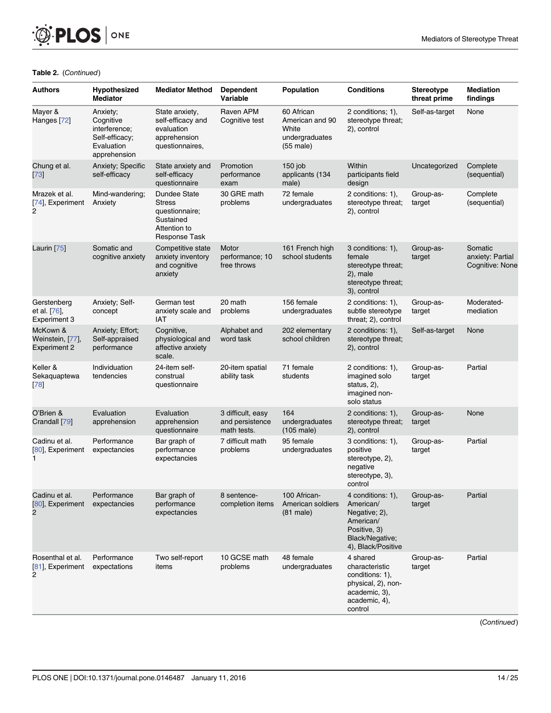#### Table 2. (Continued)

 $\mathcal{D}$  PLOS  $\vert$  one

| <b>Authors</b>                                      | <b>Hypothesized</b><br><b>Mediator</b>                                                 | <b>Mediator Method</b>                                                                                      | <b>Dependent</b><br>Variable                        | Population                                                              | <b>Conditions</b>                                                                                                     | Stereotype<br>threat prime | <b>Mediation</b><br>findings                   |
|-----------------------------------------------------|----------------------------------------------------------------------------------------|-------------------------------------------------------------------------------------------------------------|-----------------------------------------------------|-------------------------------------------------------------------------|-----------------------------------------------------------------------------------------------------------------------|----------------------------|------------------------------------------------|
| Mayer &<br>Hanges [72]                              | Anxiety;<br>Cognitive<br>interference;<br>Self-efficacy;<br>Evaluation<br>apprehension | State anxiety,<br>self-efficacy and<br>evaluation<br>apprehension<br>questionnaires,                        | Raven APM<br>Cognitive test                         | 60 African<br>American and 90<br>White<br>undergraduates<br>$(55$ male) | 2 conditions; 1),<br>stereotype threat;<br>2), control                                                                | Self-as-target             | None                                           |
| Chung et al.<br>73                                  | Anxiety; Specific<br>self-efficacy                                                     | State anxiety and<br>self-efficacy<br>questionnaire                                                         | Promotion<br>performance<br>exam                    | 150 job<br>applicants (134<br>male)                                     | Within<br>participants field<br>design                                                                                | Uncategorized              | Complete<br>(sequential)                       |
| Mrazek et al.<br>[74], Experiment<br>2              | Mind-wandering;<br>Anxiety                                                             | <b>Dundee State</b><br><b>Stress</b><br>questionnaire;<br>Sustained<br>Attention to<br><b>Response Task</b> | 30 GRE math<br>problems                             | 72 female<br>undergraduates                                             | 2 conditions: 1),<br>stereotype threat;<br>2), control                                                                | Group-as-<br>target        | Complete<br>(sequential)                       |
| Laurin <sup>[75]</sup>                              | Somatic and<br>cognitive anxiety                                                       | Competitive state<br>anxiety inventory<br>and cognitive<br>anxiety                                          | Motor<br>performance; 10<br>free throws             | 161 French high<br>school students                                      | 3 conditions: 1),<br>female<br>stereotype threat;<br>$2$ ), male<br>stereotype threat;<br>3), control                 | Group-as-<br>target        | Somatic<br>anxiety: Partial<br>Cognitive: None |
| Gerstenberg<br>et al. [76],<br><b>Experiment 3</b>  | Anxiety; Self-<br>concept                                                              | German test<br>anxiety scale and<br>IAT                                                                     | 20 math<br>problems                                 | 156 female<br>undergraduates                                            | 2 conditions: 1),<br>subtle stereotype<br>threat; 2), control                                                         | Group-as-<br>target        | Moderated-<br>mediation                        |
| McKown &<br>Weinstein, [77],<br><b>Experiment 2</b> | Anxiety; Effort;<br>Self-appraised<br>performance                                      | Cognitive,<br>physiological and<br>affective anxiety<br>scale.                                              | Alphabet and<br>word task                           | 202 elementary<br>school children                                       | 2 conditions: 1),<br>stereotype threat;<br>2), control                                                                | Self-as-target             | None                                           |
| Keller &<br>Sekaquaptewa<br><u>78</u>               | Individuation<br>tendencies                                                            | 24-item self-<br>construal<br>questionnaire                                                                 | 20-item spatial<br>ability task                     | 71 female<br>students                                                   | 2 conditions: 1),<br>imagined solo<br>status, 2),<br>imagined non-<br>solo status                                     | Group-as-<br>target        | Partial                                        |
| O'Brien &<br>Crandall [79]                          | Evaluation<br>apprehension                                                             | Evaluation<br>apprehension<br>questionnaire                                                                 | 3 difficult, easy<br>and persistence<br>math tests. | 164<br>undergraduates<br>$(105 \text{ male})$                           | 2 conditions: 1),<br>stereotype threat;<br>2), control                                                                | Group-as-<br>target        | None                                           |
| Cadinu et al.<br>[80], Experiment<br>1              | Performance<br>expectancies                                                            | Bar graph of<br>performance<br>expectancies                                                                 | 7 difficult math<br>problems                        | 95 female<br>undergraduates                                             | 3 conditions: 1).<br>positive<br>stereotype, 2),<br>negative<br>stereotype, 3),<br>control                            | Group-as-<br>target        | Partial                                        |
| Cadinu et al.<br>[80], Experiment<br>$\overline{2}$ | Performance<br>expectancies                                                            | Bar graph of<br>performance<br>expectancies                                                                 | 8 sentence-<br>completion items                     | 100 African-<br>American soldiers<br>$(81 \text{ male})$                | 4 conditions: 1),<br>American/<br>Negative; 2),<br>American/<br>Positive, 3)<br>Black/Negative;<br>4), Black/Positive | Group-as-<br>target        | Partial                                        |
| Rosenthal et al.<br>[81], Experiment<br>2           | Performance<br>expectations                                                            | Two self-report<br>items                                                                                    | 10 GCSE math<br>problems                            | 48 female<br>undergraduates                                             | 4 shared<br>characteristic<br>conditions: 1),<br>physical, 2), non-<br>academic, 3),<br>academic, 4),<br>control      | Group-as-<br>target        | Partial                                        |

(Continued)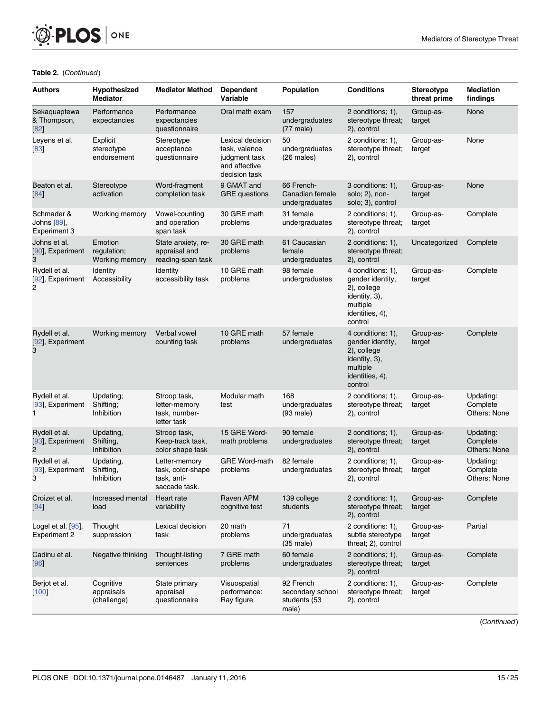#### Table 2. (Continued)

| <b>Authors</b>                                   | <b>Hypothesized</b><br><b>Mediator</b>   | <b>Mediator Method</b>                                             | <b>Dependent</b><br>Variable                                                         | <b>Population</b>                                      | <b>Conditions</b>                                                                                               | <b>Stereotype</b><br>threat prime | <b>Mediation</b><br>findings                 |
|--------------------------------------------------|------------------------------------------|--------------------------------------------------------------------|--------------------------------------------------------------------------------------|--------------------------------------------------------|-----------------------------------------------------------------------------------------------------------------|-----------------------------------|----------------------------------------------|
| Sekaquaptewa<br>& Thompson,<br>[82]              | Performance<br>expectancies              | Performance<br>expectancies<br>questionnaire                       | Oral math exam                                                                       | 157<br>undergraduates<br>$(77$ male)                   | 2 conditions; 1),<br>stereotype threat;<br>2), control                                                          | Group-as-<br>target               | None                                         |
| Leyens et al.<br>83                              | Explicit<br>stereotype<br>endorsement    | Stereotype<br>acceptance<br>questionnaire                          | Lexical decision<br>task, valence<br>judgment task<br>and affective<br>decision task | 50<br>undergraduates<br>$(26$ males)                   | 2 conditions: 1),<br>stereotype threat;<br>2), control                                                          | Group-as-<br>target               | None                                         |
| Beaton et al.<br>[84]                            | Stereotype<br>activation                 | Word-fragment<br>completion task                                   | 9 GMAT and<br><b>GRE</b> questions                                                   | 66 French-<br>Canadian female<br>undergraduates        | 3 conditions: 1),<br>solo; 2), non-<br>solo; 3), control                                                        | Group-as-<br>target               | None                                         |
| Schmader &<br>Johns [89],<br><b>Experiment 3</b> | Working memory                           | Vowel-counting<br>and operation<br>span task                       | 30 GRE math<br>problems                                                              | 31 female<br>undergraduates                            | 2 conditions; 1),<br>stereotype threat;<br>2), control                                                          | Group-as-<br>target               | Complete                                     |
| Johns et al.<br>[90], Experiment<br>3            | Emotion<br>regulation;<br>Working memory | State anxiety, re-<br>appraisal and<br>reading-span task           | 30 GRE math<br>problems                                                              | 61 Caucasian<br>female<br>undergraduates               | 2 conditions: 1),<br>stereotype threat;<br>2), control                                                          | Uncategorized                     | Complete                                     |
| Rydell et al.<br>[92], Experiment<br>2           | <b>Identity</b><br>Accessibility         | Identity<br>accessibility task                                     | 10 GRE math<br>problems                                                              | 98 female<br>undergraduates                            | 4 conditions: 1),<br>gender identity,<br>2), college<br>identity, 3),<br>multiple<br>identities, 4),<br>control | Group-as-<br>target               | Complete                                     |
| Rydell et al.<br>[92], Experiment<br>3           | Working memory                           | Verbal vowel<br>counting task                                      | 10 GRE math<br>problems                                                              | 57 female<br>undergraduates                            | 4 conditions: 1),<br>gender identity,<br>2), college<br>identity, 3),<br>multiple<br>identities, 4),<br>control | Group-as-<br>target               | Complete                                     |
| Rydell et al.<br>[93], Experiment<br>1           | Updating;<br>Shifting;<br>Inhibition     | Stroop task,<br>letter-memory<br>task, number-<br>letter task      | Modular math<br>test                                                                 | 168<br>undergraduates<br>$(93 \text{ male})$           | 2 conditions; 1),<br>stereotype threat;<br>2), control                                                          | Group-as-<br>target               | Updating:<br>Complete<br>Others: None        |
| Rydell et al.<br>[93], Experiment<br>2           | Updating,<br>Shifting,<br>Inhibition     | Stroop task,<br>Keep-track task,<br>color shape task               | 15 GRE Word-<br>math problems                                                        | 90 female<br>undergraduates                            | 2 conditions; 1),<br>stereotype threat;<br>2), control                                                          | Group-as-<br>target               | Updating:<br>Complete<br><b>Others: None</b> |
| Rydell et al.<br>[93], Experiment<br>3           | Updating,<br>Shifting,<br>Inhibition     | Letter-memory<br>task, color-shape<br>task, anti-<br>saccade task. | <b>GRE Word-math</b><br>problems                                                     | 82 female<br>undergraduates                            | 2 conditions; 1),<br>stereotype threat;<br>2), control                                                          | Group-as-<br>target               | Updating:<br>Complete<br>Others: None        |
| Croizet et al.<br>[94]                           | Increased mental<br>load                 | Heart rate<br>variability                                          | Raven APM<br>cognitive test                                                          | 139 college<br>students                                | 2 conditions: 1),<br>stereotype threat;<br>2), control                                                          | Group-as-<br>target               | Complete                                     |
| Logel et al. $[95]$ ,<br>Experiment 2            | Thought<br>suppression                   | Lexical decision<br>task                                           | 20 math<br>problems                                                                  | 71<br>undergraduates<br>$(35 \text{ male})$            | 2 conditions: 1),<br>subtle stereotype<br>threat; 2), control                                                   | Group-as-<br>target               | Partial                                      |
| Cadinu et al.<br>96                              | Negative thinking                        | Thought-listing<br>sentences                                       | 7 GRE math<br>problems                                                               | 60 female<br>undergraduates                            | 2 conditions; 1),<br>stereotype threat;<br>2), control                                                          | Group-as-<br>target               | Complete                                     |
| Berjot et al.<br>100                             | Cognitive<br>appraisals<br>(challenge)   | State primary<br>appraisal<br>questionnaire                        | Visuospatial<br>performance:<br>Ray figure                                           | 92 French<br>secondary school<br>students (53<br>male) | 2 conditions: 1),<br>stereotype threat;<br>2), control                                                          | Group-as-<br>target               | Complete                                     |

(Continued)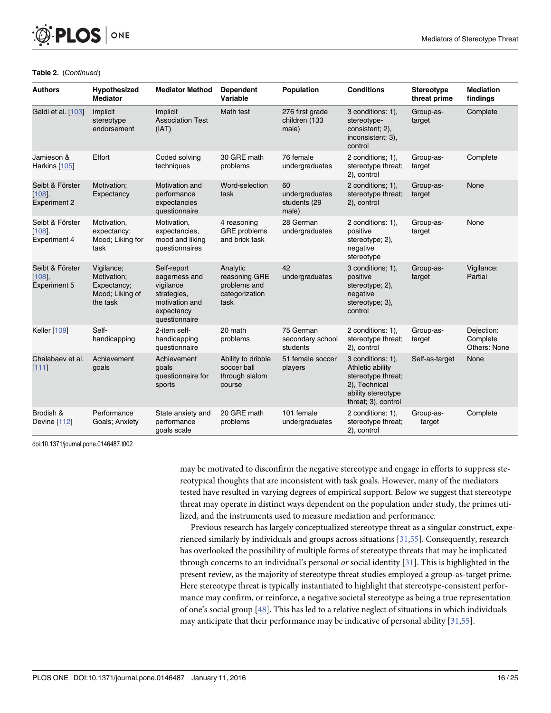#### Table 2. (Continued)

| <b>Authors</b>                                  | Hypothesized<br><b>Mediator</b>                                         | <b>Mediator Method</b>                                                                                    | <b>Dependent</b><br>Variable                                        | Population                                    | <b>Conditions</b>                                                                                                         | <b>Stereotype</b><br>threat prime | <b>Mediation</b><br>findings           |
|-------------------------------------------------|-------------------------------------------------------------------------|-----------------------------------------------------------------------------------------------------------|---------------------------------------------------------------------|-----------------------------------------------|---------------------------------------------------------------------------------------------------------------------------|-----------------------------------|----------------------------------------|
| Galdi et al. [103]                              | Implicit<br>stereotype<br>endorsement                                   | Implicit<br><b>Association Test</b><br>(IAT)                                                              | Math test                                                           | 276 first grade<br>children (133<br>male)     | 3 conditions: 1),<br>stereotype-<br>consistent; 2),<br>inconsistent; 3),<br>control                                       | Group-as-<br>target               | Complete                               |
| Jamieson &<br>Harkins [105]                     | Effort                                                                  | Coded solving<br>techniques                                                                               | 30 GRE math<br>problems                                             | 76 female<br>undergraduates                   | 2 conditions; 1).<br>stereotype threat;<br>2), control                                                                    | Group-as-<br>target               | Complete                               |
| Seibt & Förster<br>[108]<br><b>Experiment 2</b> | Motivation;<br>Expectancy                                               | Motivation and<br>performance<br>expectancies<br>questionnaire                                            | Word-selection<br>task                                              | 60<br>undergraduates<br>students (29<br>male) | 2 conditions; 1).<br>stereotype threat;<br>2), control                                                                    | Group-as-<br>target               | None                                   |
| Seibt & Förster<br>[108]<br><b>Experiment 4</b> | Motivation,<br>expectancy;<br>Mood; Liking for<br>task                  | Motivation,<br>expectancies,<br>mood and liking<br>questionnaires                                         | 4 reasoning<br><b>GRE</b> problems<br>and brick task                | 28 German<br>undergraduates                   | 2 conditions: 1),<br>positive<br>stereotype; 2),<br>negative<br>stereotype                                                | Group-as-<br>target               | None                                   |
| Seibt & Förster<br>[108]<br><b>Experiment 5</b> | Vigilance;<br>Motivation;<br>Expectancy;<br>Mood; Liking of<br>the task | Self-report<br>eagerness and<br>vigilance<br>strategies.<br>motivation and<br>expectancy<br>questionnaire | Analytic<br>reasoning GRE<br>problems and<br>categorization<br>task | 42<br>undergraduates                          | 3 conditions; 1),<br>positive<br>stereotype; 2),<br>negative<br>stereotype; 3),<br>control                                | Group-as-<br>target               | Vigilance:<br>Partial                  |
| Keller [109]                                    | Self-<br>handicapping                                                   | 2-item self-<br>handicapping<br>questionnaire                                                             | 20 math<br>problems                                                 | 75 German<br>secondary school<br>students     | 2 conditions: 1),<br>stereotype threat;<br>2), control                                                                    | Group-as-<br>target               | Dejection:<br>Complete<br>Others: None |
| Chalabaev et al.<br>1111                        | Achievement<br>goals                                                    | Achievement<br>goals<br>questionnaire for<br>sports                                                       | Ability to dribble<br>soccer ball<br>through slalom<br>course       | 51 female soccer<br>players                   | 3 conditions: 1).<br>Athletic ability<br>stereotype threat;<br>2), Technical<br>ability stereotype<br>threat; 3), control | Self-as-target                    | None                                   |
| Brodish &<br>Devine [112]                       | Performance<br>Goals; Anxiety                                           | State anxiety and<br>performance<br>goals scale                                                           | 20 GRE math<br>problems                                             | 101 female<br>undergraduates                  | 2 conditions: 1).<br>stereotype threat;<br>2), control                                                                    | Group-as-<br>target               | Complete                               |

doi:10.1371/journal.pone.0146487.t002

may be motivated to disconfirm the negative stereotype and engage in efforts to suppress stereotypical thoughts that are inconsistent with task goals. However, many of the mediators tested have resulted in varying degrees of empirical support. Below we suggest that stereotype threat may operate in distinct ways dependent on the population under study, the primes utilized, and the instruments used to measure mediation and performance.

Previous research has largely conceptualized stereotype threat as a singular construct, experienced similarly by individuals and groups across situations [\[31,](#page-20-0)[55](#page-21-0)]. Consequently, research has overlooked the possibility of multiple forms of stereotype threats that may be implicated through concerns to an individual's personal or social identity  $[31]$ . This is highlighted in the present review, as the majority of stereotype threat studies employed a group-as-target prime. Here stereotype threat is typically instantiated to highlight that stereotype-consistent performance may confirm, or reinforce, a negative societal stereotype as being a true representation of one's social group [[48](#page-21-0)]. This has led to a relative neglect of situations in which individuals may anticipate that their performance may be indicative of personal ability [[31](#page-20-0),[55](#page-21-0)].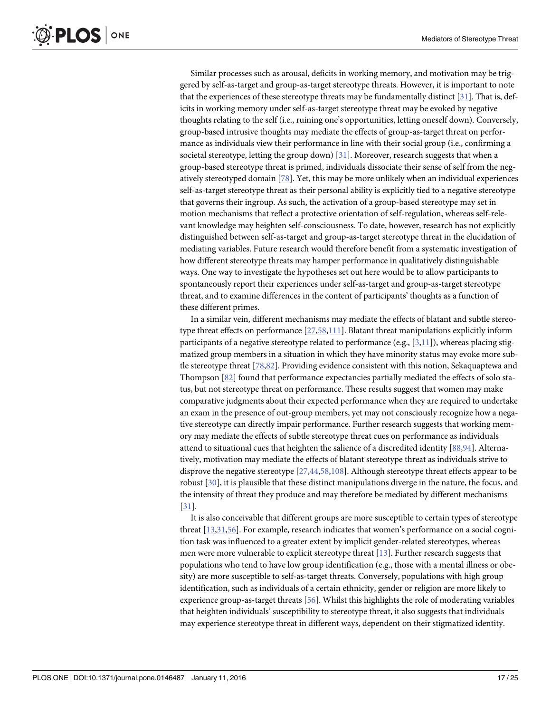Similar processes such as arousal, deficits in working memory, and motivation may be triggered by self-as-target and group-as-target stereotype threats. However, it is important to note that the experiences of these stereotype threats may be fundamentally distinct  $[31]$ . That is, deficits in working memory under self-as-target stereotype threat may be evoked by negative thoughts relating to the self (i.e., ruining one's opportunities, letting oneself down). Conversely, group-based intrusive thoughts may mediate the effects of group-as-target threat on performance as individuals view their performance in line with their social group (i.e., confirming a societal stereotype, letting the group down) [\[31\]](#page-20-0). Moreover, research suggests that when a group-based stereotype threat is primed, individuals dissociate their sense of self from the negatively stereotyped domain [\[78\]](#page-22-0). Yet, this may be more unlikely when an individual experiences self-as-target stereotype threat as their personal ability is explicitly tied to a negative stereotype that governs their ingroup. As such, the activation of a group-based stereotype may set in motion mechanisms that reflect a protective orientation of self-regulation, whereas self-relevant knowledge may heighten self-consciousness. To date, however, research has not explicitly distinguished between self-as-target and group-as-target stereotype threat in the elucidation of mediating variables. Future research would therefore benefit from a systematic investigation of how different stereotype threats may hamper performance in qualitatively distinguishable ways. One way to investigate the hypotheses set out here would be to allow participants to spontaneously report their experiences under self-as-target and group-as-target stereotype threat, and to examine differences in the content of participants' thoughts as a function of these different primes.

In a similar vein, different mechanisms may mediate the effects of blatant and subtle stereotype threat effects on performance [\[27](#page-20-0)[,58,](#page-21-0)[111](#page-23-0)]. Blatant threat manipulations explicitly inform participants of a negative stereotype related to performance (e.g.,  $[3,11]$ ), whereas placing stigmatized group members in a situation in which they have minority status may evoke more subtle stereotype threat [[78,82](#page-22-0)]. Providing evidence consistent with this notion, Sekaquaptewa and Thompson [[82](#page-22-0)] found that performance expectancies partially mediated the effects of solo status, but not stereotype threat on performance. These results suggest that women may make comparative judgments about their expected performance when they are required to undertake an exam in the presence of out-group members, yet may not consciously recognize how a negative stereotype can directly impair performance. Further research suggests that working memory may mediate the effects of subtle stereotype threat cues on performance as individuals attend to situational cues that heighten the salience of a discredited identity [[88](#page-22-0)[,94](#page-23-0)]. Alternatively, motivation may mediate the effects of blatant stereotype threat as individuals strive to disprove the negative stereotype [\[27,44,](#page-20-0)[58,](#page-21-0)[108](#page-23-0)]. Although stereotype threat effects appear to be robust [\[30\]](#page-20-0), it is plausible that these distinct manipulations diverge in the nature, the focus, and the intensity of threat they produce and may therefore be mediated by different mechanisms [\[31](#page-20-0)].

It is also conceivable that different groups are more susceptible to certain types of stereotype threat [\[13,](#page-19-0)[31,](#page-20-0)[56](#page-21-0)]. For example, research indicates that women's performance on a social cognition task was influenced to a greater extent by implicit gender-related stereotypes, whereas men were more vulnerable to explicit stereotype threat [\[13\]](#page-19-0). Further research suggests that populations who tend to have low group identification (e.g., those with a mental illness or obesity) are more susceptible to self-as-target threats. Conversely, populations with high group identification, such as individuals of a certain ethnicity, gender or religion are more likely to experience group-as-target threats [\[56\]](#page-21-0). Whilst this highlights the role of moderating variables that heighten individuals' susceptibility to stereotype threat, it also suggests that individuals may experience stereotype threat in different ways, dependent on their stigmatized identity.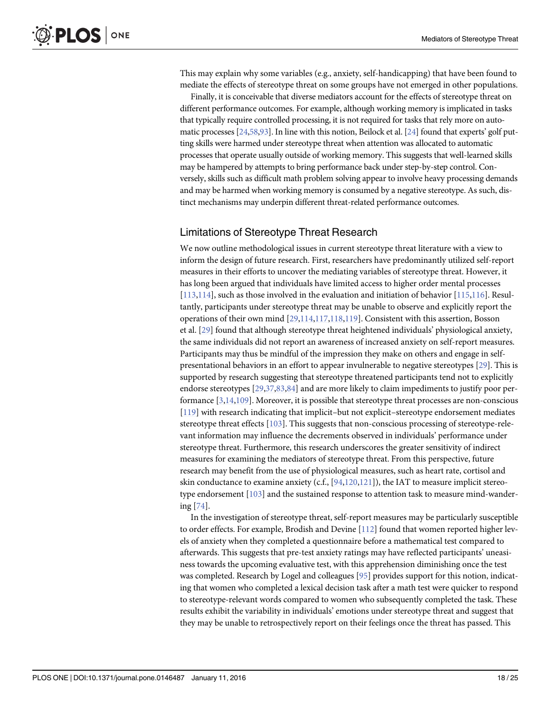<span id="page-17-0"></span>This may explain why some variables (e.g., anxiety, self-handicapping) that have been found to mediate the effects of stereotype threat on some groups have not emerged in other populations.

Finally, it is conceivable that diverse mediators account for the effects of stereotype threat on different performance outcomes. For example, although working memory is implicated in tasks that typically require controlled processing, it is not required for tasks that rely more on automatic processes  $[24,58,93]$  $[24,58,93]$  $[24,58,93]$  $[24,58,93]$  $[24,58,93]$ . In line with this notion, Beilock et al.  $[24]$  found that experts' golf putting skills were harmed under stereotype threat when attention was allocated to automatic processes that operate usually outside of working memory. This suggests that well-learned skills may be hampered by attempts to bring performance back under step-by-step control. Conversely, skills such as difficult math problem solving appear to involve heavy processing demands and may be harmed when working memory is consumed by a negative stereotype. As such, distinct mechanisms may underpin different threat-related performance outcomes.

# Limitations of Stereotype Threat Research

We now outline methodological issues in current stereotype threat literature with a view to inform the design of future research. First, researchers have predominantly utilized self-report measures in their efforts to uncover the mediating variables of stereotype threat. However, it has long been argued that individuals have limited access to higher order mental processes [\[113,114](#page-23-0)], such as those involved in the evaluation and initiation of behavior [[115,116\]](#page-23-0). Resultantly, participants under stereotype threat may be unable to observe and explicitly report the operations of their own mind [[29](#page-20-0),[114,117,](#page-23-0)[118,119\]](#page-24-0). Consistent with this assertion, Bosson et al. [\[29\]](#page-20-0) found that although stereotype threat heightened individuals' physiological anxiety, the same individuals did not report an awareness of increased anxiety on self-report measures. Participants may thus be mindful of the impression they make on others and engage in selfpresentational behaviors in an effort to appear invulnerable to negative stereotypes [\[29\]](#page-20-0). This is supported by research suggesting that stereotype threatened participants tend not to explicitly endorse stereotypes [\[29,37,](#page-20-0)[83,84](#page-22-0)] and are more likely to claim impediments to justify poor performance  $[3,14,109]$  $[3,14,109]$ . Moreover, it is possible that stereotype threat processes are non-conscious [\[119\]](#page-24-0) with research indicating that implicit–but not explicit–stereotype endorsement mediates stereotype threat effects [\[103\]](#page-23-0). This suggests that non-conscious processing of stereotype-relevant information may influence the decrements observed in individuals' performance under stereotype threat. Furthermore, this research underscores the greater sensitivity of indirect measures for examining the mediators of stereotype threat. From this perspective, future research may benefit from the use of physiological measures, such as heart rate, cortisol and skin conductance to examine anxiety (c.f.,  $[94,120,121]$  $[94,120,121]$  $[94,120,121]$  $[94,120,121]$ ), the IAT to measure implicit stereotype endorsement [[103](#page-23-0)] and the sustained response to attention task to measure mind-wandering [\[74\]](#page-22-0).

In the investigation of stereotype threat, self-report measures may be particularly susceptible to order effects. For example, Brodish and Devine [[112\]](#page-23-0) found that women reported higher levels of anxiety when they completed a questionnaire before a mathematical test compared to afterwards. This suggests that pre-test anxiety ratings may have reflected participants' uneasiness towards the upcoming evaluative test, with this apprehension diminishing once the test was completed. Research by Logel and colleagues [\[95\]](#page-23-0) provides support for this notion, indicating that women who completed a lexical decision task after a math test were quicker to respond to stereotype-relevant words compared to women who subsequently completed the task. These results exhibit the variability in individuals' emotions under stereotype threat and suggest that they may be unable to retrospectively report on their feelings once the threat has passed. This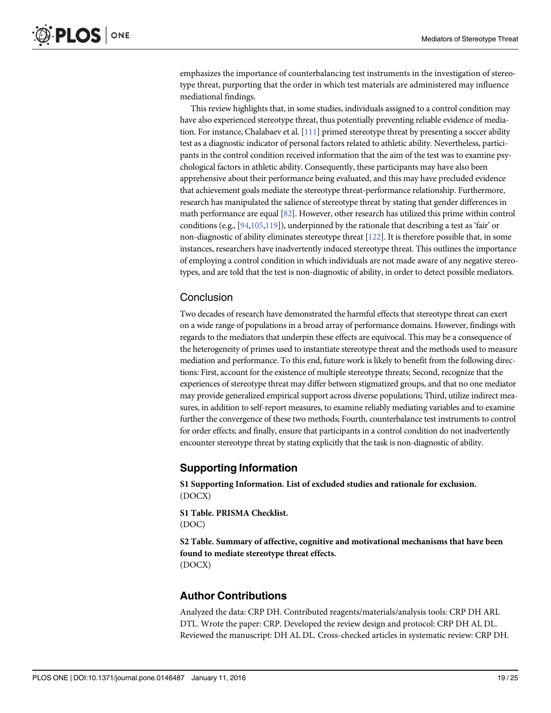<span id="page-18-0"></span>emphasizes the importance of counterbalancing test instruments in the investigation of stereotype threat, purporting that the order in which test materials are administered may influence mediational findings.

This review highlights that, in some studies, individuals assigned to a control condition may have also experienced stereotype threat, thus potentially preventing reliable evidence of mediation. For instance, Chalabaev et al. [\[111](#page-23-0)] primed stereotype threat by presenting a soccer ability test as a diagnostic indicator of personal factors related to athletic ability. Nevertheless, participants in the control condition received information that the aim of the test was to examine psychological factors in athletic ability. Consequently, these participants may have also been apprehensive about their performance being evaluated, and this may have precluded evidence that achievement goals mediate the stereotype threat-performance relationship. Furthermore, research has manipulated the salience of stereotype threat by stating that gender differences in math performance are equal [\[82\]](#page-22-0). However, other research has utilized this prime within control conditions (e.g., [\[94](#page-23-0),[105,](#page-23-0)[119\]](#page-24-0)), underpinned by the rationale that describing a test as 'fair' or non-diagnostic of ability eliminates stereotype threat [\[122](#page-24-0)]. It is therefore possible that, in some instances, researchers have inadvertently induced stereotype threat. This outlines the importance of employing a control condition in which individuals are not made aware of any negative stereotypes, and are told that the test is non-diagnostic of ability, in order to detect possible mediators.

# Conclusion

Two decades of research have demonstrated the harmful effects that stereotype threat can exert on a wide range of populations in a broad array of performance domains. However, findings with regards to the mediators that underpin these effects are equivocal. This may be a consequence of the heterogeneity of primes used to instantiate stereotype threat and the methods used to measure mediation and performance. To this end, future work is likely to benefit from the following directions: First, account for the existence of multiple stereotype threats; Second, recognize that the experiences of stereotype threat may differ between stigmatized groups, and that no one mediator may provide generalized empirical support across diverse populations; Third, utilize indirect measures, in addition to self-report measures, to examine reliably mediating variables and to examine further the convergence of these two methods; Fourth, counterbalance test instruments to control for order effects; and finally, ensure that participants in a control condition do not inadvertently encounter stereotype threat by stating explicitly that the task is non-diagnostic of ability.

## Supporting Information

[S1 Supporting Information.](http://www.plosone.org/article/fetchSingleRepresentation.action?uri=info:doi/10.1371/journal.pone.0146487.s001) List of excluded studies and rationale for exclusion. (DOCX)

[S1 Table](http://www.plosone.org/article/fetchSingleRepresentation.action?uri=info:doi/10.1371/journal.pone.0146487.s002). PRISMA Checklist. (DOC)

[S2 Table](http://www.plosone.org/article/fetchSingleRepresentation.action?uri=info:doi/10.1371/journal.pone.0146487.s003). Summary of affective, cognitive and motivational mechanisms that have been found to mediate stereotype threat effects. (DOCX)

# Author Contributions

Analyzed the data: CRP DH. Contributed reagents/materials/analysis tools: CRP DH ARL DTL. Wrote the paper: CRP. Developed the review design and protocol: CRP DH AL DL. Reviewed the manuscript: DH AL DL. Cross-checked articles in systematic review: CRP DH.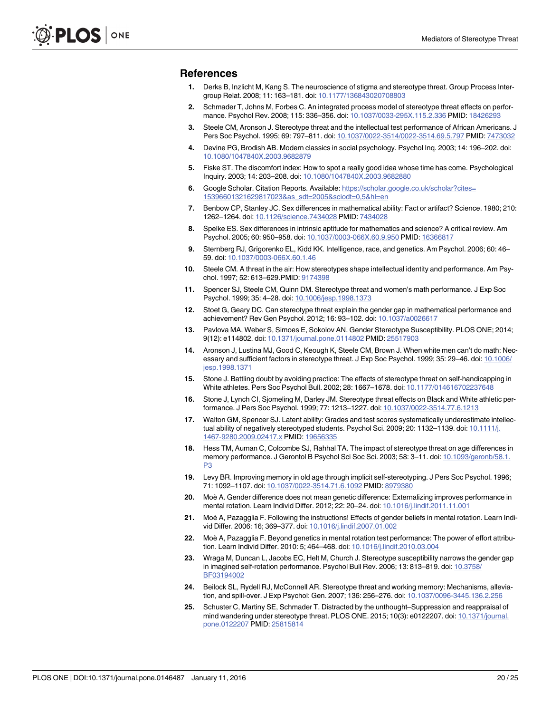#### <span id="page-19-0"></span>References

- [1.](#page-0-0) Derks B, Inzlicht M, Kang S. The neuroscience of stigma and stereotype threat. Group Process Intergroup Relat. 2008; 11: 163–181. doi: [10.1177/136843020708803](http://dx.doi.org/10.1177/136843020708803)
- [2.](#page-0-0) Schmader T, Johns M, Forbes C. An integrated process model of stereotype threat effects on performance. Psychol Rev. 2008; 115: 336–356. doi: [10.1037/0033-295X.115.2.336](http://dx.doi.org/10.1037/0033-295X.115.2.336) PMID: [18426293](http://www.ncbi.nlm.nih.gov/pubmed/18426293)
- [3.](#page-0-0) Steele CM, Aronson J. Stereotype threat and the intellectual test performance of African Americans. J Pers Soc Psychol. 1995; 69: 797–811. doi: [10.1037/0022-3514/0022-3514.69.5.797](http://dx.doi.org/10.1037/0022-3514/0022-3514.69.5.797) PMID: [7473032](http://www.ncbi.nlm.nih.gov/pubmed/7473032)
- [4.](#page-0-0) Devine PG, Brodish AB. Modern classics in social psychology. Psychol Inq. 2003; 14: 196–202. doi: [10.1080/1047840X.2003.9682879](http://dx.doi.org/10.1080/1047840X.2003.9682879)
- [5.](#page-0-0) Fiske ST. The discomfort index: How to spot a really good idea whose time has come. Psychological Inquiry. 2003; 14: 203–208. doi: [10.1080/1047840X.2003.9682880](http://dx.doi.org/10.1080/1047840X.2003.9682880)
- [6.](#page-0-0) Google Scholar. Citation Reports. Available: [https://scholar.google.co.uk/scholar?cites=](https://scholar.google.co.uk/scholar?cites=15396601321629817023&as_sdt=2005&sciodt=0,5&hl=en) [15396601321629817023&as\\_sdt=2005&sciodt=0,5&hl=en](https://scholar.google.co.uk/scholar?cites=15396601321629817023&as_sdt=2005&sciodt=0,5&hl=en)
- [7.](#page-0-0) Benbow CP, Stanley JC. Sex differences in mathematical ability: Fact or artifact? Science. 1980; 210: 1262–1264. doi: [10.1126/science.7434028](http://dx.doi.org/10.1126/science.7434028) PMID: [7434028](http://www.ncbi.nlm.nih.gov/pubmed/7434028)
- [8.](#page-0-0) Spelke ES. Sex differences in intrinsic aptitude for mathematics and science? A critical review. Am Psychol. 2005; 60: 950-958. doi: [10.1037/0003-066X.60.9.950](http://dx.doi.org/10.1037/0003-066X.60.9.950) PMID: [16366817](http://www.ncbi.nlm.nih.gov/pubmed/16366817)
- [9.](#page-0-0) Sternberg RJ, Grigorenko EL, Kidd KK. Intelligence, race, and genetics. Am Psychol. 2006; 60: 46– 59. doi: [10.1037/0003-066X.60.1.46](http://dx.doi.org/10.1037/0003-066X.60.1.46)
- [10.](#page-1-0) Steele CM. A threat in the air: How stereotypes shape intellectual identity and performance. Am Psy-chol. 1997; 52: 613-629.PMID: [9174398](http://www.ncbi.nlm.nih.gov/pubmed/9174398)
- [11.](#page-1-0) Spencer SJ, Steele CM, Quinn DM. Stereotype threat and women's math performance. J Exp Soc Psychol. 1999; 35: 4–28. doi: [10.1006/jesp.1998.1373](http://dx.doi.org/10.1006/jesp.1998.1373)
- [12.](#page-1-0) Stoet G, Geary DC. Can stereotype threat explain the gender gap in mathematical performance and achievement? Rev Gen Psychol. 2012; 16: 93–102. doi: [10.1037/a0026617](http://dx.doi.org/10.1037/a0026617)
- [13.](#page-1-0) Pavlova MA, Weber S, Simoes E, Sokolov AN. Gender Stereotype Susceptibility. PLOS ONE; 2014; 9(12): e114802. doi: [10.1371/journal.pone.0114802](http://dx.doi.org/10.1371/journal.pone.0114802) PMID: [25517903](http://www.ncbi.nlm.nih.gov/pubmed/25517903)
- [14.](#page-1-0) Aronson J, Lustina MJ, Good C, Keough K, Steele CM, Brown J. When white men can't do math: Necessary and sufficient factors in stereotype threat. J Exp Soc Psychol. 1999; 35: 29–46. doi: [10.1006/](http://dx.doi.org/10.1006/jesp.1998.1371) [jesp.1998.1371](http://dx.doi.org/10.1006/jesp.1998.1371)
- [15.](#page-1-0) Stone J. Battling doubt by avoiding practice: The effects of stereotype threat on self-handicapping in White athletes. Pers Soc Psychol Bull. 2002; 28: 1667–1678. doi: [10.1177/014616702237648](http://dx.doi.org/10.1177/014616702237648)
- [16.](#page-1-0) Stone J, Lynch CI, Sjomeling M, Darley JM. Stereotype threat effects on Black and White athletic performance. J Pers Soc Psychol. 1999; 77: 1213–1227. doi: [10.1037/0022-3514.77.6.1213](http://dx.doi.org/10.1037/0022-3514.77.6.1213)
- [17.](#page-1-0) Walton GM, Spencer SJ. Latent ability: Grades and test scores systematically underestimate intellectual ability of negatively stereotyped students. Psychol Sci. 2009; 20: 1132–1139. doi: [10.1111/j.](http://dx.doi.org/10.1111/j.1467-9280.2009.02417.x) [1467-9280.2009.02417.x](http://dx.doi.org/10.1111/j.1467-9280.2009.02417.x) PMID: [19656335](http://www.ncbi.nlm.nih.gov/pubmed/19656335)
- [18.](#page-1-0) Hess TM, Auman C, Colcombe SJ, Rahhal TA. The impact of stereotype threat on age differences in memory performance. J Gerontol B Psychol Sci Soc Sci. 2003; 58: 3–11. doi: [10.1093/geronb/58.1.](http://dx.doi.org/10.1093/geronb/58.1.P3) [P3](http://dx.doi.org/10.1093/geronb/58.1.P3)
- [19.](#page-1-0) Levy BR. Improving memory in old age through implicit self-stereotyping. J Pers Soc Psychol. 1996; 71: 1092–1107. doi: [10.1037/0022-3514.71.6.1092](http://dx.doi.org/10.1037/0022-3514.71.6.1092) PMID: [8979380](http://www.ncbi.nlm.nih.gov/pubmed/8979380)
- [20.](#page-1-0) Moè A. Gender difference does not mean genetic difference: Externalizing improves performance in mental rotation. Learn Individ Differ. 2012; 22: 20–24. doi: [10.1016/j.lindif.2011.11.001](http://dx.doi.org/10.1016/j.lindif.2011.11.001)
- 21. Moè A, Pazagglia F. Following the instructions! Effects of gender beliefs in mental rotation. Learn Individ Differ. 2006: 16; 369–377. doi: [10.1016/j.lindif.2007.01.002](http://dx.doi.org/10.1016/j.lindif.2007.01.002)
- 22. Moè A, Pazagglia F. Beyond genetics in mental rotation test performance: The power of effort attribution. Learn Individ Differ. 2010: 5; 464–468. doi: [10.1016/j.lindif.2010.03.004](http://dx.doi.org/10.1016/j.lindif.2010.03.004)
- [23.](#page-1-0) Wraga M, Duncan L, Jacobs EC, Helt M, Church J. Stereotype susceptibility narrows the gender gap in imagined self-rotation performance. Psychol Bull Rev. 2006; 13: 813–819. doi: [10.3758/](http://dx.doi.org/10.3758/BF03194002) [BF03194002](http://dx.doi.org/10.3758/BF03194002)
- [24.](#page-1-0) Beilock SL, Rydell RJ, McConnell AR. Stereotype threat and working memory: Mechanisms, alleviation, and spill-over. J Exp Psychol: Gen. 2007; 136: 256–276. doi: [10.1037/0096-3445.136.2.256](http://dx.doi.org/10.1037/0096-3445.136.2.256)
- [25.](#page-1-0) Schuster C, Martiny SE, Schmader T. Distracted by the unthought–Suppression and reappraisal of mind wandering under stereotype threat. PLOS ONE. 2015; 10(3): e0122207. doi: [10.1371/journal.](http://dx.doi.org/10.1371/journal.pone.0122207) [pone.0122207](http://dx.doi.org/10.1371/journal.pone.0122207) PMID: [25815814](http://www.ncbi.nlm.nih.gov/pubmed/25815814)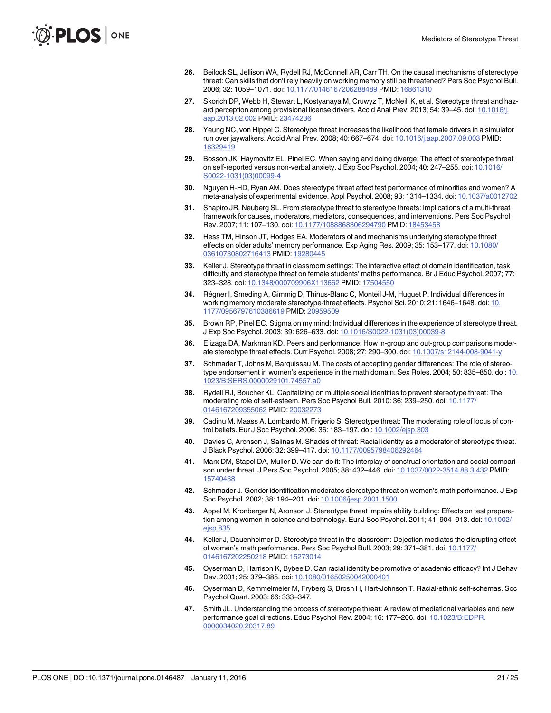- <span id="page-20-0"></span>[26.](#page-1-0) Beilock SL, Jellison WA, Rydell RJ, McConnell AR, Carr TH. On the causal mechanisms of stereotype threat: Can skills that don't rely heavily on working memory still be threatened? Pers Soc Psychol Bull. 2006; 32: 1059–1071. doi: [10.1177/0146167206288489](http://dx.doi.org/10.1177/0146167206288489) PMID: [16861310](http://www.ncbi.nlm.nih.gov/pubmed/16861310)
- [27.](#page-1-0) Skorich DP, Webb H, Stewart L, Kostyanaya M, Cruwyz T, McNeill K, et al. Stereotype threat and haz-ard perception among provisional license drivers. Accid Anal Prev. 2013; 54: 39-45. doi: [10.1016/j.](http://dx.doi.org/10.1016/j.aap.2013.02.002) [aap.2013.02.002](http://dx.doi.org/10.1016/j.aap.2013.02.002) PMID: [23474236](http://www.ncbi.nlm.nih.gov/pubmed/23474236)
- [28.](#page-1-0) Yeung NC, von Hippel C. Stereotype threat increases the likelihood that female drivers in a simulator run over jaywalkers. Accid Anal Prev. 2008; 40: 667–674. doi: [10.1016/j.aap.2007.09.003](http://dx.doi.org/10.1016/j.aap.2007.09.003) PMID: [18329419](http://www.ncbi.nlm.nih.gov/pubmed/18329419)
- [29.](#page-1-0) Bosson JK, Haymovitz EL, Pinel EC. When saying and doing diverge: The effect of stereotype threat on self-reported versus non-verbal anxiety. J Exp Soc Psychol. 2004; 40: 247–255. doi: [10.1016/](http://dx.doi.org/10.1016/S0022-1031(03)00099-4) [S0022-1031\(03\)00099-4](http://dx.doi.org/10.1016/S0022-1031(03)00099-4)
- [30.](#page-1-0) Nguyen H-HD, Ryan AM. Does stereotype threat affect test performance of minorities and women? A meta-analysis of experimental evidence. Appl Psychol. 2008; 93: 1314–1334. doi: [10.1037/a0012702](http://dx.doi.org/10.1037/a0012702)
- [31.](#page-1-0) Shapiro JR, Neuberg SL. From stereotype threat to stereotype threats: Implications of a multi-threat framework for causes, moderators, mediators, consequences, and interventions. Pers Soc Psychol Rev. 2007; 11: 107–130. doi: [10.1177/1088868306294790](http://dx.doi.org/10.1177/1088868306294790) PMID: [18453458](http://www.ncbi.nlm.nih.gov/pubmed/18453458)
- [32.](#page-1-0) Hess TM, Hinson JT, Hodges EA. Moderators of and mechanisms underlying stereotype threat effects on older adults' memory performance. Exp Aging Res. 2009; 35: 153–177. doi: [10.1080/](http://dx.doi.org/10.1080/03610730802716413) [03610730802716413](http://dx.doi.org/10.1080/03610730802716413) PMID: [19280445](http://www.ncbi.nlm.nih.gov/pubmed/19280445)
- [33.](#page-1-0) Keller J. Stereotype threat in classroom settings: The interactive effect of domain identification, task difficulty and stereotype threat on female students' maths performance. Br J Educ Psychol. 2007; 77: 323–328. doi: [10.1348/000709906X113662](http://dx.doi.org/10.1348/000709906X113662) PMID: [17504550](http://www.ncbi.nlm.nih.gov/pubmed/17504550)
- [34.](#page-1-0) Régner I, Smeding A, Gimmig D, Thinus-Blanc C, Monteil J-M, Huguet P. Individual differences in working memory moderate stereotype-threat effects. Psychol Sci. 2010; 21: 1646-1648. doi: [10.](http://dx.doi.org/10.1177/0956797610386619) [1177/0956797610386619](http://dx.doi.org/10.1177/0956797610386619) PMID: [20959509](http://www.ncbi.nlm.nih.gov/pubmed/20959509)
- [35.](#page-1-0) Brown RP, Pinel EC. Stigma on my mind: Individual differences in the experience of stereotype threat. J Exp Soc Psychol. 2003; 39: 626–633. doi: [10.1016/S0022-1031\(03\)00039-8](http://dx.doi.org/10.1016/S0022-1031(03)00039-8)
- [36.](#page-1-0) Elizaga DA, Markman KD. Peers and performance: How in-group and out-group comparisons moderate stereotype threat effects. Curr Psychol. 2008; 27: 290–300. doi: [10.1007/s12144-008-9041-y](http://dx.doi.org/10.1007/s12144-008-9041-y)
- [37.](#page-1-0) Schmader T, Johns M, Barquissau M. The costs of accepting gender differences: The role of stereotype endorsement in women's experience in the math domain. Sex Roles. 2004; 50: 835–850. doi: [10.](http://dx.doi.org/10.1023/B:SERS.0000029101.74557.a0) [1023/B:SERS.0000029101.74557.a0](http://dx.doi.org/10.1023/B:SERS.0000029101.74557.a0)
- [38.](#page-1-0) Rydell RJ, Boucher KL. Capitalizing on multiple social identities to prevent stereotype threat: The moderating role of self-esteem. Pers Soc Psychol Bull. 2010: 36; 239–250. doi: [10.1177/](http://dx.doi.org/10.1177/0146167209355062) [0146167209355062](http://dx.doi.org/10.1177/0146167209355062) PMID: [20032273](http://www.ncbi.nlm.nih.gov/pubmed/20032273)
- [39.](#page-1-0) Cadinu M, Maass A, Lombardo M, Frigerio S. Stereotype threat: The moderating role of locus of control beliefs. Eur J Soc Psychol. 2006; 36: 183–197. doi: [10.1002/ejsp.303](http://dx.doi.org/10.1002/ejsp.303)
- [40.](#page-1-0) Davies C, Aronson J, Salinas M. Shades of threat: Racial identity as a moderator of stereotype threat. J Black Psychol. 2006; 32: 399–417. doi: [10.1177/0095798406292464](http://dx.doi.org/10.1177/0095798406292464)
- [41.](#page-1-0) Marx DM, Stapel DA, Muller D. We can do it: The interplay of construal orientation and social comparison under threat. J Pers Soc Psychol. 2005; 88: 432–446. doi: [10.1037/0022-3514.88.3.432](http://dx.doi.org/10.1037/0022-3514.88.3.432) PMID: [15740438](http://www.ncbi.nlm.nih.gov/pubmed/15740438)
- [42.](#page-1-0) Schmader J. Gender identification moderates stereotype threat on women's math performance. J Exp Soc Psychol. 2002; 38: 194–201. doi: [10.1006/jesp.2001.1500](http://dx.doi.org/10.1006/jesp.2001.1500)
- [43.](#page-1-0) Appel M, Kronberger N, Aronson J. Stereotype threat impairs ability building: Effects on test prepara-tion among women in science and technology. Eur J Soc Psychol. 2011; 41: 904-913. doi: [10.1002/](http://dx.doi.org/10.1002/ejsp.835) [ejsp.835](http://dx.doi.org/10.1002/ejsp.835)
- [44.](#page-1-0) Keller J, Dauenheimer D. Stereotype threat in the classroom: Dejection mediates the disrupting effect of women's math performance. Pers Soc Psychol Bull. 2003; 29: 371–381. doi: [10.1177/](http://dx.doi.org/10.1177/0146167202250218) [0146167202250218](http://dx.doi.org/10.1177/0146167202250218) PMID: [15273014](http://www.ncbi.nlm.nih.gov/pubmed/15273014)
- [45.](#page-1-0) Oyserman D, Harrison K, Bybee D. Can racial identity be promotive of academic efficacy? Int J Behav Dev. 2001; 25: 379–385. doi: [10.1080/01650250042000401](http://dx.doi.org/10.1080/01650250042000401)
- [46.](#page-1-0) Oyserman D, Kemmelmeier M, Fryberg S, Brosh H, Hart-Johnson T. Racial-ethnic self-schemas. Soc Psychol Quart. 2003; 66: 333–347.
- [47.](#page-1-0) Smith JL. Understanding the process of stereotype threat: A review of mediational variables and new performance goal directions. Educ Psychol Rev. 2004; 16: 177-206. doi: [10.1023/B:EDPR.](http://dx.doi.org/10.1023/B:EDPR.0000034020.20317.89) [0000034020.20317.89](http://dx.doi.org/10.1023/B:EDPR.0000034020.20317.89)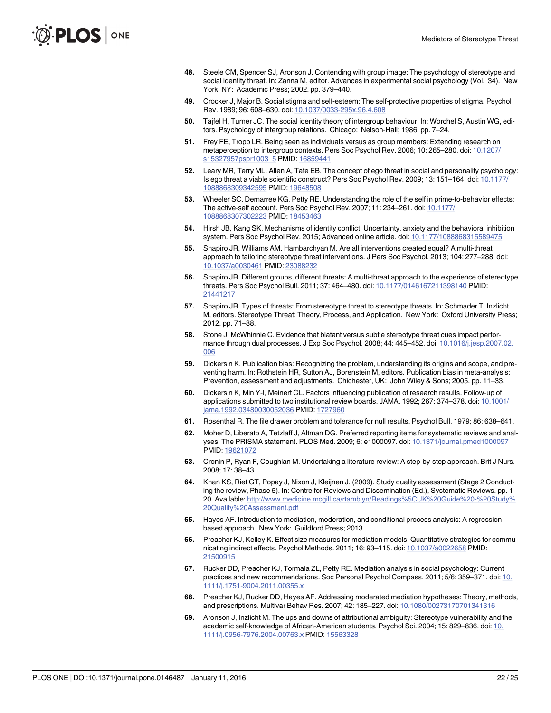- <span id="page-21-0"></span>[48.](#page-2-0) Steele CM, Spencer SJ, Aronson J. Contending with group image: The psychology of stereotype and social identity threat. In: Zanna M, editor. Advances in experimental social psychology (Vol. 34). New York, NY: Academic Press; 2002. pp. 379–440.
- [49.](#page-2-0) Crocker J, Major B. Social stigma and self-esteem: The self-protective properties of stigma. Psychol Rev. 1989; 96: 608–630. doi: [10.1037/0033-295x.96.4.608](http://dx.doi.org/10.1037/0033-295x.96.4.608)
- [50.](#page-2-0) Tajfel H, Turner JC. The social identity theory of intergroup behaviour. In: Worchel S, Austin WG, editors. Psychology of intergroup relations. Chicago: Nelson-Hall; 1986. pp. 7–24.
- [51.](#page-2-0) Frey FE, Tropp LR. Being seen as individuals versus as group members: Extending research on metaperception to intergroup contexts. Pers Soc Psychol Rev. 2006; 10: 265–280. doi: [10.1207/](http://dx.doi.org/10.1207/s15327957pspr1003_5) [s15327957pspr1003\\_5](http://dx.doi.org/10.1207/s15327957pspr1003_5) PMID: [16859441](http://www.ncbi.nlm.nih.gov/pubmed/16859441)
- [52.](#page-2-0) Leary MR, Terry ML, Allen A, Tate EB. The concept of ego threat in social and personality psychology: Is ego threat a viable scientific construct? Pers Soc Psychol Rev. 2009; 13: 151–164. doi: [10.1177/](http://dx.doi.org/10.1177/1088868309342595) [1088868309342595](http://dx.doi.org/10.1177/1088868309342595) PMID: [19648508](http://www.ncbi.nlm.nih.gov/pubmed/19648508)
- [53.](#page-2-0) Wheeler SC, Demarree KG, Petty RE. Understanding the role of the self in prime-to-behavior effects: The active-self account. Pers Soc Psychol Rev. 2007; 11: 234–261. doi: [10.1177/](http://dx.doi.org/10.1177/1088868307302223) [1088868307302223](http://dx.doi.org/10.1177/1088868307302223) PMID: [18453463](http://www.ncbi.nlm.nih.gov/pubmed/18453463)
- [54.](#page-2-0) Hirsh JB, Kang SK. Mechanisms of identity conflict: Uncertainty, anxiety and the behavioral inhibition system. Pers Soc Psychol Rev. 2015; Advanced online article. doi: [10.1177/1088868315589475](http://dx.doi.org/10.1177/1088868315589475)
- [55.](#page-2-0) Shapiro JR, Williams AM, Hambarchyan M. Are all interventions created equal? A multi-threat approach to tailoring stereotype threat interventions. J Pers Soc Psychol. 2013; 104: 277–288. doi: [10.1037/a0030461](http://dx.doi.org/10.1037/a0030461) PMID: [23088232](http://www.ncbi.nlm.nih.gov/pubmed/23088232)
- [56.](#page-2-0) Shapiro JR. Different groups, different threats: A multi-threat approach to the experience of stereotype threats. Pers Soc Psychol Bull. 2011; 37: 464–480. doi: [10.1177/0146167211398140](http://dx.doi.org/10.1177/0146167211398140) PMID: [21441217](http://www.ncbi.nlm.nih.gov/pubmed/21441217)
- [57.](#page-2-0) Shapiro JR. Types of threats: From stereotype threat to stereotype threats. In: Schmader T, Inzlicht M, editors. Stereotype Threat: Theory, Process, and Application. New York: Oxford University Press; 2012. pp. 71–88.
- [58.](#page-2-0) Stone J, McWhinnie C. Evidence that blatant versus subtle stereotype threat cues impact performance through dual processes. J Exp Soc Psychol. 2008; 44: 445–452. doi: [10.1016/j.jesp.2007.02.](http://dx.doi.org/10.1016/j.jesp.2007.02.006) [006](http://dx.doi.org/10.1016/j.jesp.2007.02.006)
- [59.](#page-3-0) Dickersin K. Publication bias: Recognizing the problem, understanding its origins and scope, and preventing harm. In: Rothstein HR, Sutton AJ, Borenstein M, editors. Publication bias in meta-analysis: Prevention, assessment and adjustments. Chichester, UK: John Wiley & Sons; 2005. pp. 11–33.
- [60.](#page-3-0) Dickersin K, Min Y-I, Meinert CL. Factors influencing publication of research results. Follow-up of applications submitted to two institutional review boards. JAMA. 1992; 267: 374–378. doi: [10.1001/](http://dx.doi.org/10.1001/jama.1992.03480030052036) [jama.1992.03480030052036](http://dx.doi.org/10.1001/jama.1992.03480030052036) PMID: [1727960](http://www.ncbi.nlm.nih.gov/pubmed/1727960)
- [61.](#page-3-0) Rosenthal R. The file drawer problem and tolerance for null results. Psychol Bull. 1979; 86: 638–641.
- [62.](#page-3-0) Moher D, Liberato A, Tetzlaff J, Altman DG. Preferred reporting items for systematic reviews and analyses: The PRISMA statement. PLOS Med. 2009; 6: e1000097. doi: [10.1371/journal.pmed1000097](http://dx.doi.org/10.1371/journal.pmed1000097) PMID: [19621072](http://www.ncbi.nlm.nih.gov/pubmed/19621072)
- [63.](#page-3-0) Cronin P, Ryan F, Coughlan M. Undertaking a literature review: A step-by-step approach. Brit J Nurs. 2008; 17: 38–43.
- [64.](#page-3-0) Khan KS, Riet GT, Popay J, Nixon J, Kleijnen J. (2009). Study quality assessment (Stage 2 Conducting the review, Phase 5). In: Centre for Reviews and Dissemination (Ed.), Systematic Reviews. pp. 1– 20. Available: [http://www.medicine.mcgill.ca/rtamblyn/Readings%5CUK%20Guide%20-%20Study%](http://www.medicine.mcgill.ca/rtamblyn/Readings%5CUK%20Guide%20-%20Study%20Quality%20Assessment.pdf) [20Quality%20Assessment.pdf](http://www.medicine.mcgill.ca/rtamblyn/Readings%5CUK%20Guide%20-%20Study%20Quality%20Assessment.pdf)
- [65.](#page-3-0) Hayes AF. Introduction to mediation, moderation, and conditional process analysis: A regressionbased approach. New York: Guildford Press; 2013.
- [66.](#page-4-0) Preacher KJ, Kelley K. Effect size measures for mediation models: Quantitative strategies for communicating indirect effects. Psychol Methods. 2011; 16: 93–115. doi: [10.1037/a0022658](http://dx.doi.org/10.1037/a0022658) PMID: [21500915](http://www.ncbi.nlm.nih.gov/pubmed/21500915)
- [67.](#page-4-0) Rucker DD, Preacher KJ, Tormala ZL, Petty RE. Mediation analysis in social psychology: Current practices and new recommendations. Soc Personal Psychol Compass. 2011; 5/6: 359–371. doi: [10.](http://dx.doi.org/10.1111/j.1751-9004.2011.00355.x) [1111/j.1751-9004.2011.00355.x](http://dx.doi.org/10.1111/j.1751-9004.2011.00355.x)
- [68.](#page-4-0) Preacher KJ, Rucker DD, Hayes AF. Addressing moderated mediation hypotheses: Theory, methods, and prescriptions. Multivar Behav Res. 2007; 42: 185–227. doi: [10.1080/00273170701341316](http://dx.doi.org/10.1080/00273170701341316)
- [69.](#page-5-0) Aronson J, Inzlicht M. The ups and downs of attributional ambiguity: Stereotype vulnerability and the academic self-knowledge of African-American students. Psychol Sci. 2004; 15: 829–836. doi: [10.](http://dx.doi.org/10.1111/j.0956-7976.2004.00763.x) [1111/j.0956-7976.2004.00763.x](http://dx.doi.org/10.1111/j.0956-7976.2004.00763.x) PMID: [15563328](http://www.ncbi.nlm.nih.gov/pubmed/15563328)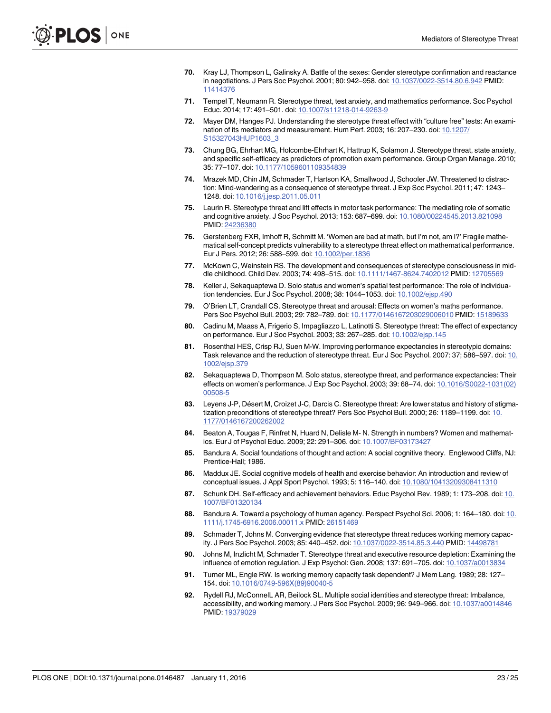- <span id="page-22-0"></span>[70.](#page-5-0) Kray LJ, Thompson L, Galinsky A. Battle of the sexes: Gender stereotype confirmation and reactance in negotiations. J Pers Soc Psychol. 2001; 80: 942–958. doi: [10.1037/0022-3514.80.6.942](http://dx.doi.org/10.1037/0022-3514.80.6.942) PMID: [11414376](http://www.ncbi.nlm.nih.gov/pubmed/11414376)
- [71.](#page-5-0) Tempel T, Neumann R. Stereotype threat, test anxiety, and mathematics performance. Soc Psychol Educ. 2014; 17: 491–501. doi: [10.1007/s11218-014-9263-9](http://dx.doi.org/10.1007/s11218-014-9263-9)
- [72.](#page-5-0) Mayer DM, Hanges PJ. Understanding the stereotype threat effect with "culture free" tests: An examination of its mediators and measurement. Hum Perf. 2003; 16: 207–230. doi: [10.1207/](http://dx.doi.org/10.1207/S15327043HUP1603_3) [S15327043HUP1603\\_3](http://dx.doi.org/10.1207/S15327043HUP1603_3)
- [73.](#page-5-0) Chung BG, Ehrhart MG, Holcombe-Ehrhart K, Hattrup K, Solamon J. Stereotype threat, state anxiety, and specific self-efficacy as predictors of promotion exam performance. Group Organ Manage. 2010; 35: 77–107. doi: [10.1177/1059601109354839](http://dx.doi.org/10.1177/1059601109354839)
- [74.](#page-5-0) Mrazek MD, Chin JM, Schmader T, Hartson KA, Smallwood J, Schooler JW. Threatened to distraction: Mind-wandering as a consequence of stereotype threat. J Exp Soc Psychol. 2011; 47: 1243– 1248. doi: [10.1016/j.jesp.2011.05.011](http://dx.doi.org/10.1016/j.jesp.2011.05.011)
- [75.](#page-5-0) Laurin R. Stereotype threat and lift effects in motor task performance: The mediating role of somatic and cognitive anxiety. J Soc Psychol. 2013; 153: 687–699. doi: [10.1080/00224545.2013.821098](http://dx.doi.org/10.1080/00224545.2013.821098) PMID: [24236380](http://www.ncbi.nlm.nih.gov/pubmed/24236380)
- [76.](#page-5-0) Gerstenberg FXR, Imhoff R, Schmitt M. 'Women are bad at math, but I'm not, am I?' Fragile mathematical self-concept predicts vulnerability to a stereotype threat effect on mathematical performance. Eur J Pers. 2012; 26: 588–599. doi: [10.1002/per.1836](http://dx.doi.org/10.1002/per.1836)
- [77.](#page-5-0) McKown C, Weinstein RS. The development and consequences of stereotype consciousness in middle childhood. Child Dev. 2003; 74: 498–515. doi: [10.1111/1467-8624.7402012](http://dx.doi.org/10.1111/1467-8624.7402012) PMID: [12705569](http://www.ncbi.nlm.nih.gov/pubmed/12705569)
- [78.](#page-5-0) Keller J, Sekaquaptewa D. Solo status and women's spatial test performance: The role of individuation tendencies. Eur J Soc Psychol. 2008; 38: 1044–1053. doi: [10.1002/ejsp.490](http://dx.doi.org/10.1002/ejsp.490)
- [79.](#page-6-0) O'Brien LT, Crandall CS. Stereotype threat and arousal: Effects on women's maths performance. Pers Soc Psychol Bull. 2003; 29: 782–789. doi: [10.1177/0146167203029006010](http://dx.doi.org/10.1177/0146167203029006010) PMID: [15189633](http://www.ncbi.nlm.nih.gov/pubmed/15189633)
- [80.](#page-6-0) Cadinu M, Maass A, Frigerio S, Impagliazzo L, Latinotti S. Stereotype threat: The effect of expectancy on performance. Eur J Soc Psychol. 2003; 33: 267–285. doi: [10.1002/ejsp.145](http://dx.doi.org/10.1002/ejsp.145)
- [81.](#page-6-0) Rosenthal HES, Crisp RJ, Suen M-W. Improving performance expectancies in stereotypic domains: Task relevance and the reduction of stereotype threat. Eur J Soc Psychol. 2007: 37; 586-597. doi: [10.](http://dx.doi.org/10.1002/ejsp.379) [1002/ejsp.379](http://dx.doi.org/10.1002/ejsp.379)
- [82.](#page-6-0) Sekaquaptewa D, Thompson M. Solo status, stereotype threat, and performance expectancies: Their effects on women's performance. J Exp Soc Psychol. 2003; 39: 68–74. doi: [10.1016/S0022-1031\(02\)](http://dx.doi.org/10.1016/S0022-1031(02)00508-5) [00508-5](http://dx.doi.org/10.1016/S0022-1031(02)00508-5)
- [83.](#page-6-0) Leyens J-P, Désert M, Croizet J-C, Darcis C. Stereotype threat: Are lower status and history of stigmatization preconditions of stereotype threat? Pers Soc Psychol Bull. 2000; 26: 1189–1199. doi: [10.](http://dx.doi.org/10.1177/0146167200262002) [1177/0146167200262002](http://dx.doi.org/10.1177/0146167200262002)
- [84.](#page-7-0) Beaton A, Tougas F, Rinfret N, Huard N, Delisle M- N. Strength in numbers? Women and mathematics. Eur J of Psychol Educ. 2009; 22: 291–306. doi: [10.1007/BF03173427](http://dx.doi.org/10.1007/BF03173427)
- [85.](#page-7-0) Bandura A. Social foundations of thought and action: A social cognitive theory. Englewood Cliffs, NJ: Prentice-Hall; 1986.
- [86.](#page-7-0) Maddux JE. Social cognitive models of health and exercise behavior: An introduction and review of conceptual issues. J Appl Sport Psychol. 1993; 5: 116–140. doi: [10.1080/10413209308411310](http://dx.doi.org/10.1080/10413209308411310)
- [87.](#page-7-0) Schunk DH. Self-efficacy and achievement behaviors. Educ Psychol Rev. 1989; 1: 173–208. doi: [10.](http://dx.doi.org/10.1007/BF01320134) [1007/BF01320134](http://dx.doi.org/10.1007/BF01320134)
- [88.](#page-7-0) Bandura A. Toward a psychology of human agency. Perspect Psychol Sci. 2006; 1: 164–180. doi: [10.](http://dx.doi.org/10.1111/j.1745-6916.2006.00011.x) [1111/j.1745-6916.2006.00011.x](http://dx.doi.org/10.1111/j.1745-6916.2006.00011.x) PMID: [26151469](http://www.ncbi.nlm.nih.gov/pubmed/26151469)
- [89.](#page-7-0) Schmader T, Johns M. Converging evidence that stereotype threat reduces working memory capacity. J Pers Soc Psychol. 2003; 85: 440–452. doi: [10.1037/0022-3514.85.3.440](http://dx.doi.org/10.1037/0022-3514.85.3.440) PMID: [14498781](http://www.ncbi.nlm.nih.gov/pubmed/14498781)
- [90.](#page-7-0) Johns M, Inzlicht M, Schmader T. Stereotype threat and executive resource depletion: Examining the influence of emotion regulation. J Exp Psychol: Gen. 2008; 137: 691–705. doi: [10.1037/a0013834](http://dx.doi.org/10.1037/a0013834)
- [91.](#page-7-0) Turner ML, Engle RW. Is working memory capacity task dependent? J Mem Lang. 1989; 28: 127– 154. doi: [10.1016/0749-596X\(89\)90040-5](http://dx.doi.org/10.1016/0749-596X(89)90040-5)
- [92.](#page-7-0) Rydell RJ, McConnelL AR, Beilock SL. Multiple social identities and stereotype threat: Imbalance, accessibility, and working memory. J Pers Soc Psychol. 2009; 96: 949–966. doi: [10.1037/a0014846](http://dx.doi.org/10.1037/a0014846) PMID: [19379029](http://www.ncbi.nlm.nih.gov/pubmed/19379029)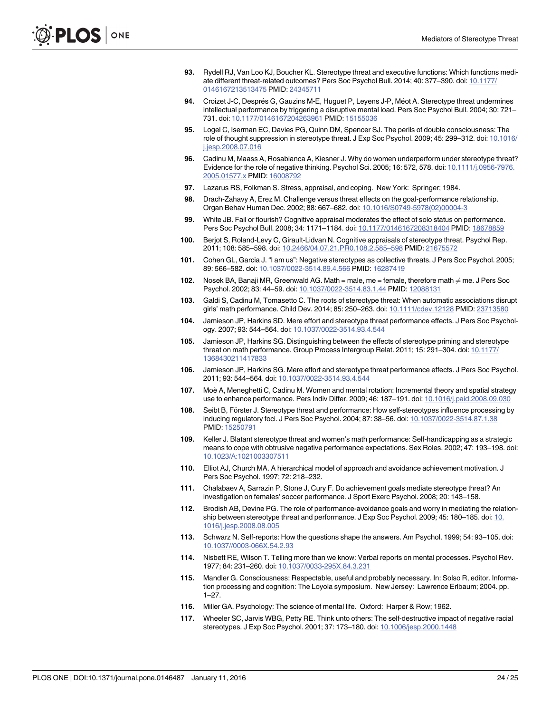- <span id="page-23-0"></span>[93.](#page-7-0) Rydell RJ, Van Loo KJ, Boucher KL. Stereotype threat and executive functions: Which functions mediate different threat-related outcomes? Pers Soc Psychol Bull. 2014; 40: 377–390. doi: [10.1177/](http://dx.doi.org/10.1177/0146167213513475) [0146167213513475](http://dx.doi.org/10.1177/0146167213513475) PMID: [24345711](http://www.ncbi.nlm.nih.gov/pubmed/24345711)
- [94.](#page-8-0) Croizet J-C, Després G, Gauzins M-E, Huguet P, Leyens J-P, Méot A. Stereotype threat undermines intellectual performance by triggering a disruptive mental load. Pers Soc Psychol Bull. 2004; 30: 721– 731. doi: [10.1177/0146167204263961](http://dx.doi.org/10.1177/0146167204263961) PMID: [15155036](http://www.ncbi.nlm.nih.gov/pubmed/15155036)
- [95.](#page-8-0) Logel C, Iserman EC, Davies PG, Quinn DM, Spencer SJ. The perils of double consciousness: The role of thought suppression in stereotype threat. J Exp Soc Psychol. 2009; 45: 299-312. doi: [10.1016/](http://dx.doi.org/10.1016/j.jesp.2008.07.016) [j.jesp.2008.07.016](http://dx.doi.org/10.1016/j.jesp.2008.07.016)
- [96.](#page-8-0) Cadinu M, Maass A, Rosabianca A, Kiesner J. Why do women underperform under stereotype threat? Evidence for the role of negative thinking. Psychol Sci. 2005; 16: 572, 578. doi: [10.1111/j.0956-7976.](http://dx.doi.org/10.1111/j.0956-7976.2005.01577.x) [2005.01577.x](http://dx.doi.org/10.1111/j.0956-7976.2005.01577.x) PMID: [16008792](http://www.ncbi.nlm.nih.gov/pubmed/16008792)
- [97.](#page-9-0) Lazarus RS, Folkman S. Stress, appraisal, and coping. New York: Springer; 1984.
- [98.](#page-9-0) Drach-Zahavy A, Erez M. Challenge versus threat effects on the goal-performance relationship. Organ Behav Human Dec. 2002; 88: 667–682. doi: [10.1016/S0749-5978\(02\)00004-3](http://dx.doi.org/10.1016/S0749-5978(02)00004-3)
- [99.](#page-9-0) White JB. Fail or flourish? Cognitive appraisal moderates the effect of solo status on performance. Pers Soc Psychol Bull. 2008; 34: 1171–1184. doi: [10.1177/0146167208318404](http://dx.doi.org/10.1177/0146167208318404) PMID: [18678859](http://www.ncbi.nlm.nih.gov/pubmed/18678859)
- [100.](#page-9-0) Berjot S, Roland-Levy C, Girault-Lidvan N. Cognitive appraisals of stereotype threat. Psychol Rep. 2011; 108: 585–598. doi: [10.2466/04.07.21.PR0.108.2.585](http://dx.doi.org/10.2466/04.07.21.PR0.108.2.585–598)–598 PMID: [21675572](http://www.ncbi.nlm.nih.gov/pubmed/21675572)
- [101.](#page-9-0) Cohen GL, Garcia J. "I am us": Negative stereotypes as collective threats. J Pers Soc Psychol. 2005; 89: 566–582. doi: [10.1037/0022-3514.89.4.566](http://dx.doi.org/10.1037/0022-3514.89.4.566) PMID: [16287419](http://www.ncbi.nlm.nih.gov/pubmed/16287419)
- [102.](#page-9-0) Nosek BA, Banaji MR, Greenwald AG. Math = male, me = female, therefore math  $\neq$  me. J Pers Soc Psychol. 2002; 83: 44–59. doi: [10.1037/0022-3514.83.1.44](http://dx.doi.org/10.1037/0022-3514.83.1.44) PMID: [12088131](http://www.ncbi.nlm.nih.gov/pubmed/12088131)
- [103.](#page-9-0) Galdi S, Cadinu M, Tomasetto C. The roots of stereotype threat: When automatic associations disrupt girls' math performance. Child Dev. 2014; 85: 250-263. doi: [10.1111/cdev.12128](http://dx.doi.org/10.1111/cdev.12128) PMID: [23713580](http://www.ncbi.nlm.nih.gov/pubmed/23713580)
- [104.](#page-9-0) Jamieson JP, Harkins SD. Mere effort and stereotype threat performance effects. J Pers Soc Psychology. 2007; 93: 544–564. doi: [10.1037/0022-3514.93.4.544](http://dx.doi.org/10.1037/0022-3514.93.4.544)
- [105.](#page-9-0) Jamieson JP, Harkins SG. Distinguishing between the effects of stereotype priming and stereotype threat on math performance. Group Process Intergroup Relat. 2011; 15: 291–304. doi: [10.1177/](http://dx.doi.org/10.1177/1368430211417833) [1368430211417833](http://dx.doi.org/10.1177/1368430211417833)
- [106.](#page-9-0) Jamieson JP, Harkins SG. Mere effort and stereotype threat performance effects. J Pers Soc Psychol. 2011; 93: 544–564. doi: [10.1037/0022-3514.93.4.544](http://dx.doi.org/10.1037/0022-3514.93.4.544)
- [107.](#page-10-0) Moè A, Meneghetti C, Cadinu M. Women and mental rotation: Incremental theory and spatial strategy use to enhance performance. Pers Indiv Differ. 2009; 46: 187–191. doi: [10.1016/j.paid.2008.09.030](http://dx.doi.org/10.1016/j.paid.2008.09.030)
- [108.](#page-10-0) Seibt B, Förster J. Stereotype threat and performance: How self-stereotypes influence processing by inducing regulatory foci. J Pers Soc Psychol. 2004; 87: 38–56. doi: [10.1037/0022-3514.87.1.38](http://dx.doi.org/10.1037/0022-3514.87.1.38) PMID: [15250791](http://www.ncbi.nlm.nih.gov/pubmed/15250791)
- [109.](#page-10-0) Keller J. Blatant stereotype threat and women's math performance: Self-handicapping as a strategic means to cope with obtrusive negative performance expectations. Sex Roles. 2002; 47: 193–198. doi: [10.1023/A:1021003307511](http://dx.doi.org/10.1023/A:1021003307511)
- [110.](#page-11-0) Elliot AJ, Church MA. A hierarchical model of approach and avoidance achievement motivation. J Pers Soc Psychol. 1997; 72: 218–232.
- [111.](#page-11-0) Chalabaev A, Sarrazin P, Stone J, Cury F. Do achievement goals mediate stereotype threat? An investigation on females' soccer performance. J Sport Exerc Psychol. 2008; 20: 143–158.
- [112.](#page-11-0) Brodish AB, Devine PG. The role of performance-avoidance goals and worry in mediating the relationship between stereotype threat and performance. J Exp Soc Psychol. 2009; 45: 180–185. doi: [10.](http://dx.doi.org/10.1016/j.jesp.2008.08.005) [1016/j.jesp.2008.08.005](http://dx.doi.org/10.1016/j.jesp.2008.08.005)
- [113.](#page-17-0) Schwarz N. Self-reports: How the questions shape the answers. Am Psychol. 1999; 54: 93–105. doi: [10.1037//0003-066X.54.2.93](http://dx.doi.org/10.1037//0003-066X.54.2.93)
- [114.](#page-17-0) Nisbett RE, Wilson T. Telling more than we know: Verbal reports on mental processes. Psychol Rev. 1977; 84: 231–260. doi: [10.1037/0033-295X.84.3.231](http://dx.doi.org/10.1037/0033-295X.84.3.231)
- [115.](#page-17-0) Mandler G. Consciousness: Respectable, useful and probably necessary. In: Solso R, editor. Information processing and cognition: The Loyola symposium. New Jersey: Lawrence Erlbaum; 2004. pp. 1–27.
- [116.](#page-17-0) Miller GA. Psychology: The science of mental life. Oxford: Harper & Row; 1962.
- [117.](#page-17-0) Wheeler SC, Jarvis WBG, Petty RE. Think unto others: The self-destructive impact of negative racial stereotypes. J Exp Soc Psychol. 2001; 37: 173–180. doi: [10.1006/jesp.2000.1448](http://dx.doi.org/10.1006/jesp.2000.1448)